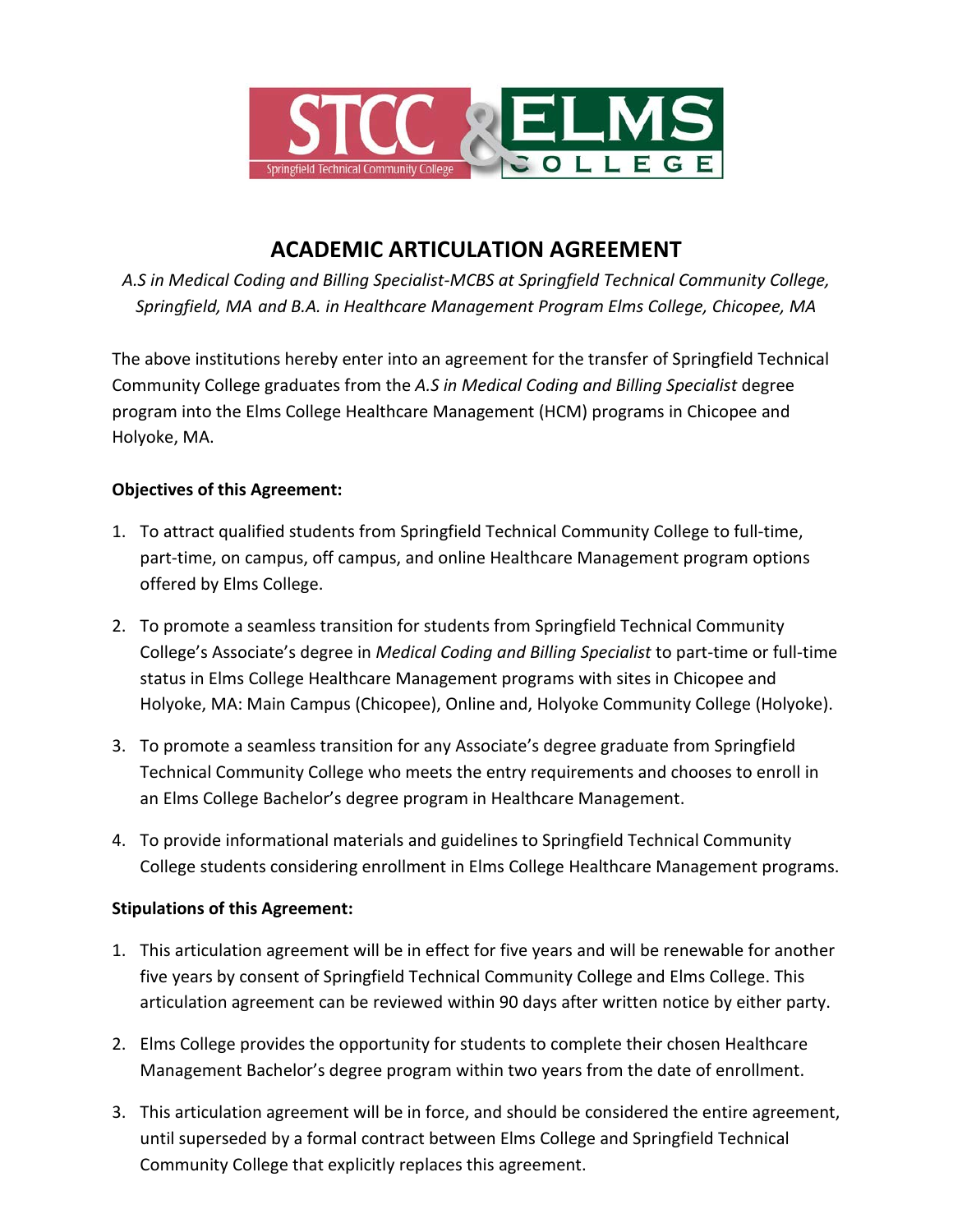

### **ACADEMIC ARTICULATION AGREEMENT**

*A.S in Medical Coding and Billing Specialist-MCBS at Springfield Technical Community College, Springfield, MA and B.A. in Healthcare Management Program Elms College, Chicopee, MA* 

The above institutions hereby enter into an agreement for the transfer of Springfield Technical Community College graduates from the *A.S in Medical Coding and Billing Specialist* degree program into the Elms College Healthcare Management (HCM) programs in Chicopee and Holyoke, MA.

### **Objectives of this Agreement:**

- 1. To attract qualified students from Springfield Technical Community College to full-time, part-time, on campus, off campus, and online Healthcare Management program options offered by Elms College.
- 2. To promote a seamless transition for students from Springfield Technical Community College's Associate's degree in *Medical Coding and Billing Specialist* to part-time or full-time status in Elms College Healthcare Management programs with sites in Chicopee and Holyoke, MA: Main Campus (Chicopee), Online and, Holyoke Community College (Holyoke).
- 3. To promote a seamless transition for any Associate's degree graduate from Springfield Technical Community College who meets the entry requirements and chooses to enroll in an Elms College Bachelor's degree program in Healthcare Management.
- 4. To provide informational materials and guidelines to Springfield Technical Community College students considering enrollment in Elms College Healthcare Management programs.

### **Stipulations of this Agreement:**

- 1. This articulation agreement will be in effect for five years and will be renewable for another five years by consent of Springfield Technical Community College and Elms College. This articulation agreement can be reviewed within 90 days after written notice by either party.
- 2. Elms College provides the opportunity for students to complete their chosen Healthcare Management Bachelor's degree program within two years from the date of enrollment.
- 3. This articulation agreement will be in force, and should be considered the entire agreement, until superseded by a formal contract between Elms College and Springfield Technical Community College that explicitly replaces this agreement.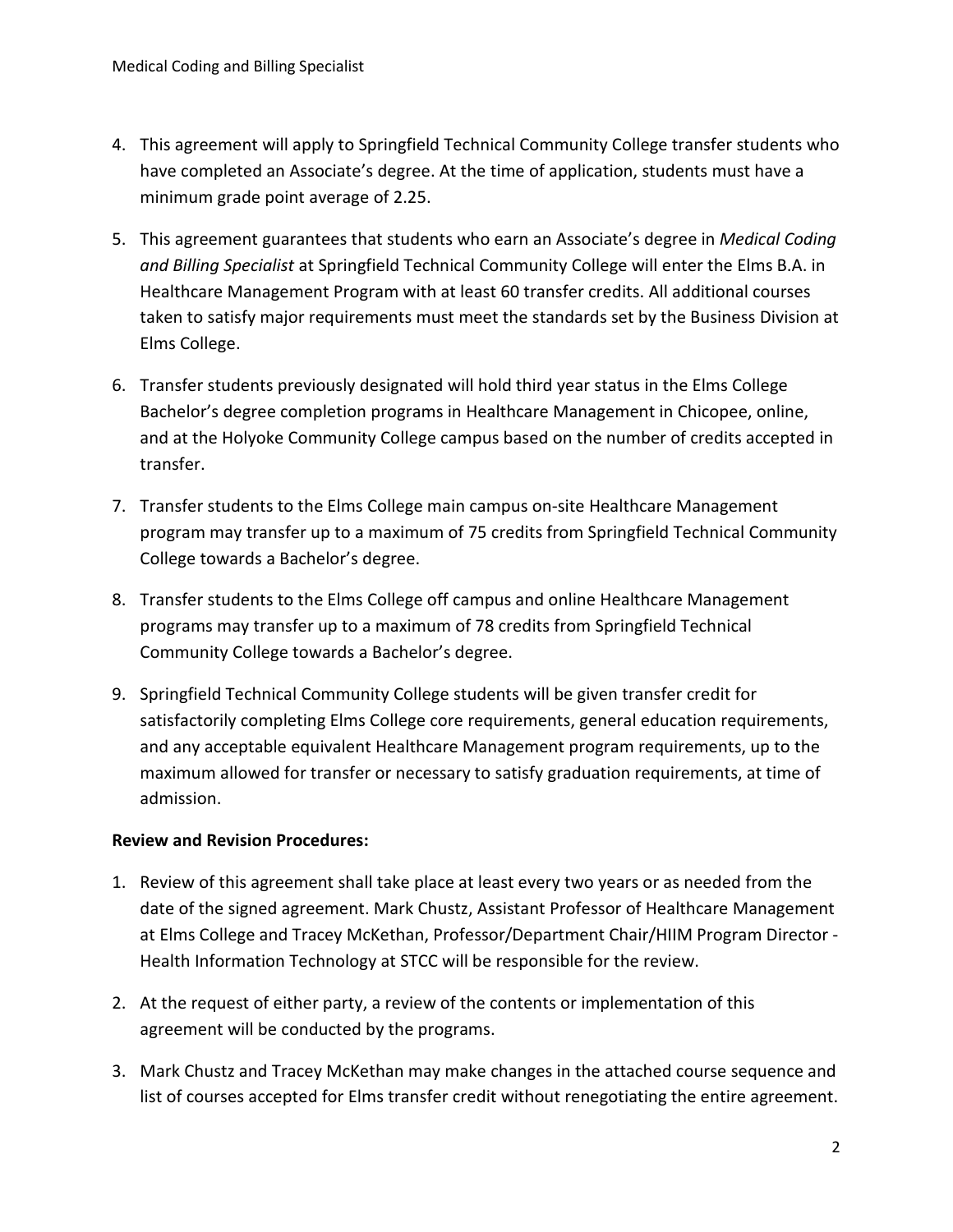- 4. This agreement will apply to Springfield Technical Community College transfer students who have completed an Associate's degree. At the time of application, students must have a minimum grade point average of 2.25.
- 5. This agreement guarantees that students who earn an Associate's degree in *Medical Coding and Billing Specialist* at Springfield Technical Community College will enter the Elms B.A. in Healthcare Management Program with at least 60 transfer credits. All additional courses taken to satisfy major requirements must meet the standards set by the Business Division at Elms College.
- 6. Transfer students previously designated will hold third year status in the Elms College Bachelor's degree completion programs in Healthcare Management in Chicopee, online, and at the Holyoke Community College campus based on the number of credits accepted in transfer.
- 7. Transfer students to the Elms College main campus on-site Healthcare Management program may transfer up to a maximum of 75 credits from Springfield Technical Community College towards a Bachelor's degree.
- 8. Transfer students to the Elms College off campus and online Healthcare Management programs may transfer up to a maximum of 78 credits from Springfield Technical Community College towards a Bachelor's degree.
- 9. Springfield Technical Community College students will be given transfer credit for satisfactorily completing Elms College core requirements, general education requirements, and any acceptable equivalent Healthcare Management program requirements, up to the maximum allowed for transfer or necessary to satisfy graduation requirements, at time of admission.

### **Review and Revision Procedures:**

- 1. Review of this agreement shall take place at least every two years or as needed from the date of the signed agreement. Mark Chustz, Assistant Professor of Healthcare Management at Elms College and Tracey McKethan, Professor/Department Chair/HIIM Program Director - Health Information Technology at STCC will be responsible for the review.
- 2. At the request of either party, a review of the contents or implementation of this agreement will be conducted by the programs.
- 3. Mark Chustz and Tracey McKethan may make changes in the attached course sequence and list of courses accepted for Elms transfer credit without renegotiating the entire agreement.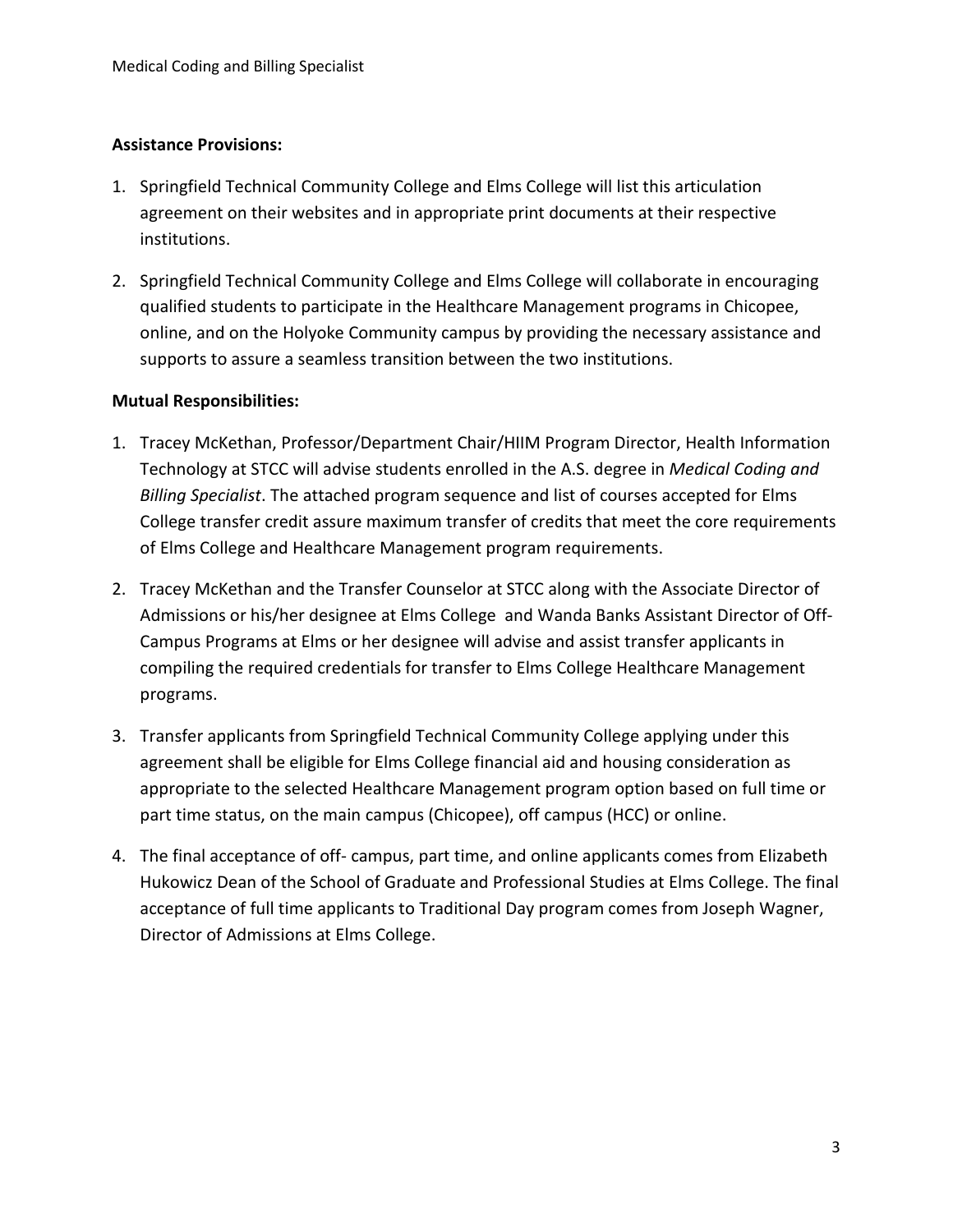#### **Assistance Provisions:**

- 1. Springfield Technical Community College and Elms College will list this articulation agreement on their websites and in appropriate print documents at their respective institutions.
- 2. Springfield Technical Community College and Elms College will collaborate in encouraging qualified students to participate in the Healthcare Management programs in Chicopee, online, and on the Holyoke Community campus by providing the necessary assistance and supports to assure a seamless transition between the two institutions.

#### **Mutual Responsibilities:**

- 1. Tracey McKethan, Professor/Department Chair/HIIM Program Director, Health Information Technology at STCC will advise students enrolled in the A.S. degree in *Medical Coding and Billing Specialist*. The attached program sequence and list of courses accepted for Elms College transfer credit assure maximum transfer of credits that meet the core requirements of Elms College and Healthcare Management program requirements.
- 2. Tracey McKethan and the Transfer Counselor at STCC along with the Associate Director of Admissions or his/her designee at Elms College and Wanda Banks Assistant Director of Off-Campus Programs at Elms or her designee will advise and assist transfer applicants in compiling the required credentials for transfer to Elms College Healthcare Management programs.
- 3. Transfer applicants from Springfield Technical Community College applying under this agreement shall be eligible for Elms College financial aid and housing consideration as appropriate to the selected Healthcare Management program option based on full time or part time status, on the main campus (Chicopee), off campus (HCC) or online.
- 4. The final acceptance of off- campus, part time, and online applicants comes from Elizabeth Hukowicz Dean of the School of Graduate and Professional Studies at Elms College. The final acceptance of full time applicants to Traditional Day program comes from Joseph Wagner, Director of Admissions at Elms College.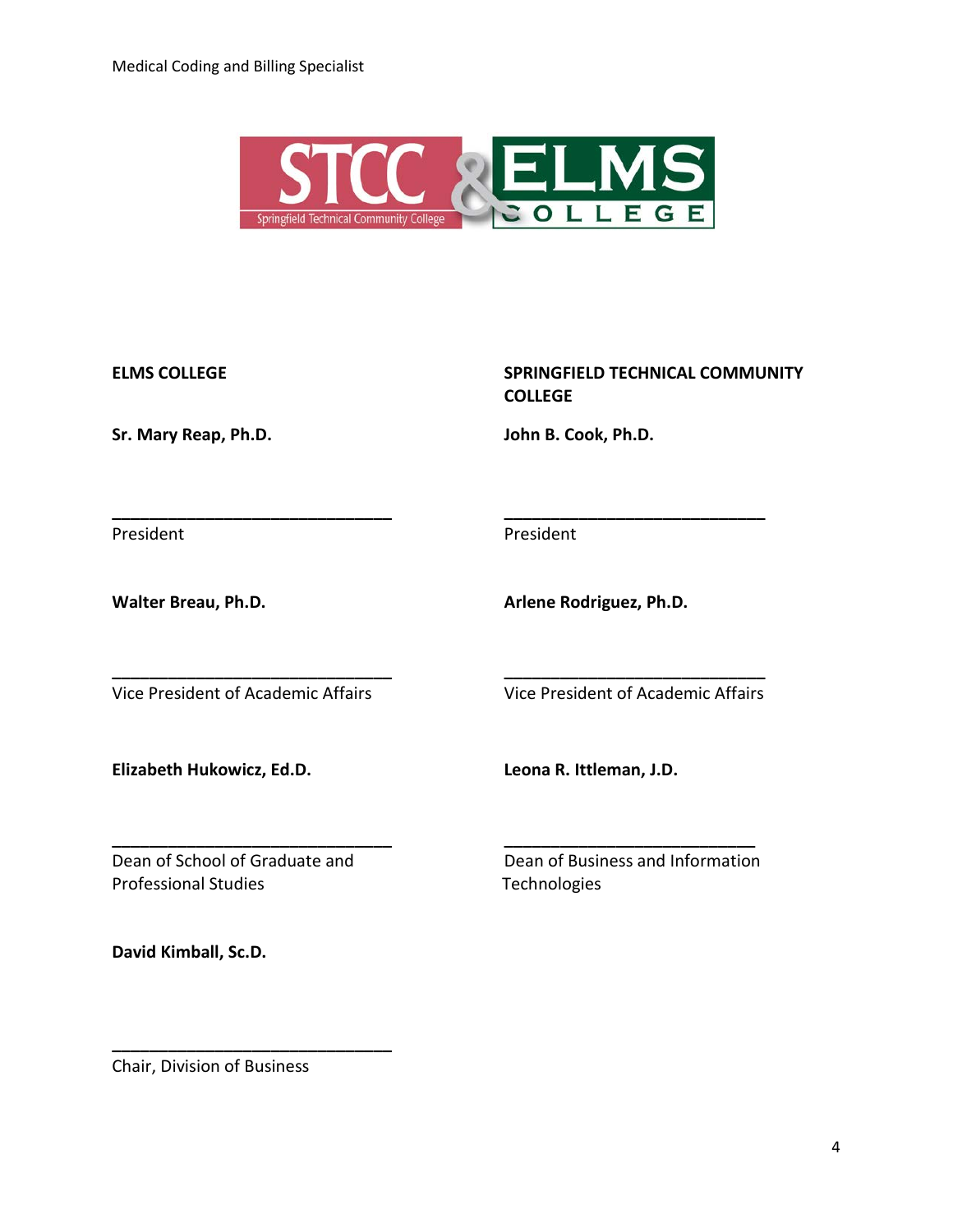

**\_\_\_\_\_\_\_\_\_\_\_\_\_\_\_\_\_\_\_\_\_\_\_\_\_\_\_\_\_\_ \_\_\_\_\_\_\_\_\_\_\_\_\_\_\_\_\_\_\_\_\_\_\_\_\_\_\_\_**

**\_\_\_\_\_\_\_\_\_\_\_\_\_\_\_\_\_\_\_\_\_\_\_\_\_\_\_\_\_\_ \_\_\_\_\_\_\_\_\_\_\_\_\_\_\_\_\_\_\_\_\_\_\_\_\_\_\_\_**

**Sr. Mary Reap, Ph.D. John B. Cook, Ph.D.**

ELMS COLLEGE **SPRINGFIELD TECHNICAL COMMUNITY COLLEGE**

President **President** 

Walter Breau, Ph.D. **Arlene Rodriguez, Ph.D. Arlene Rodriguez**, Ph.D.

Vice President of Academic Affairs Vice President of Academic Affairs

**Elizabeth Hukowicz, Ed.D. Leona R. Ittleman, J.D.**

Dean of School of Graduate and Dean of Business and Information Professional Studies Technologies

**\_\_\_\_\_\_\_\_\_\_\_\_\_\_\_\_\_\_\_\_\_\_\_\_\_\_\_\_\_\_ \_\_\_\_\_\_\_\_\_\_\_\_\_\_\_\_\_\_\_\_\_\_\_\_\_\_\_**

**David Kimball, Sc.D.** 

Chair, Division of Business

**\_\_\_\_\_\_\_\_\_\_\_\_\_\_\_\_\_\_\_\_\_\_\_\_\_\_\_\_\_\_**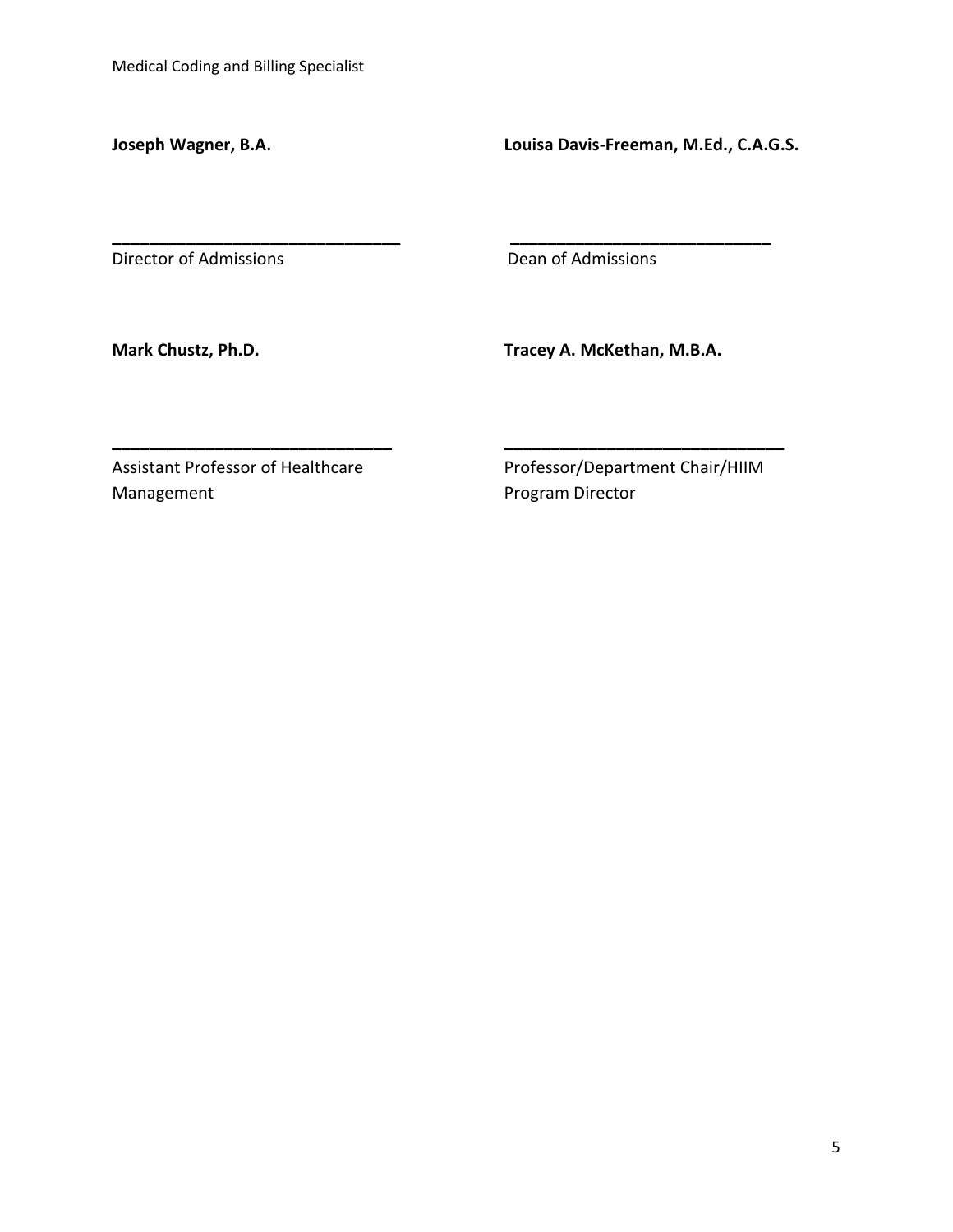**Joseph Wagner, B.A. Louisa Davis-Freeman, M.Ed., C.A.G.S.**

Director of Admissions **Director of Admissions** 

**\_\_\_\_\_\_\_\_\_\_\_\_\_\_\_\_\_\_\_\_\_\_\_\_\_\_\_\_\_\_\_ \_\_\_\_\_\_\_\_\_\_\_\_\_\_\_\_\_\_\_\_\_\_\_\_\_\_\_\_**

**\_\_\_\_\_\_\_\_\_\_\_\_\_\_\_\_\_\_\_\_\_\_\_\_\_\_\_\_\_\_ \_\_\_\_\_\_\_\_\_\_\_\_\_\_\_\_\_\_\_\_\_\_\_\_\_\_\_\_\_\_** 

**Mark Chustz, Ph.D. Tracey A. McKethan, M.B.A.**

Management **Management Program Director** 

Assistant Professor of Healthcare Professor/Department Chair/HIIM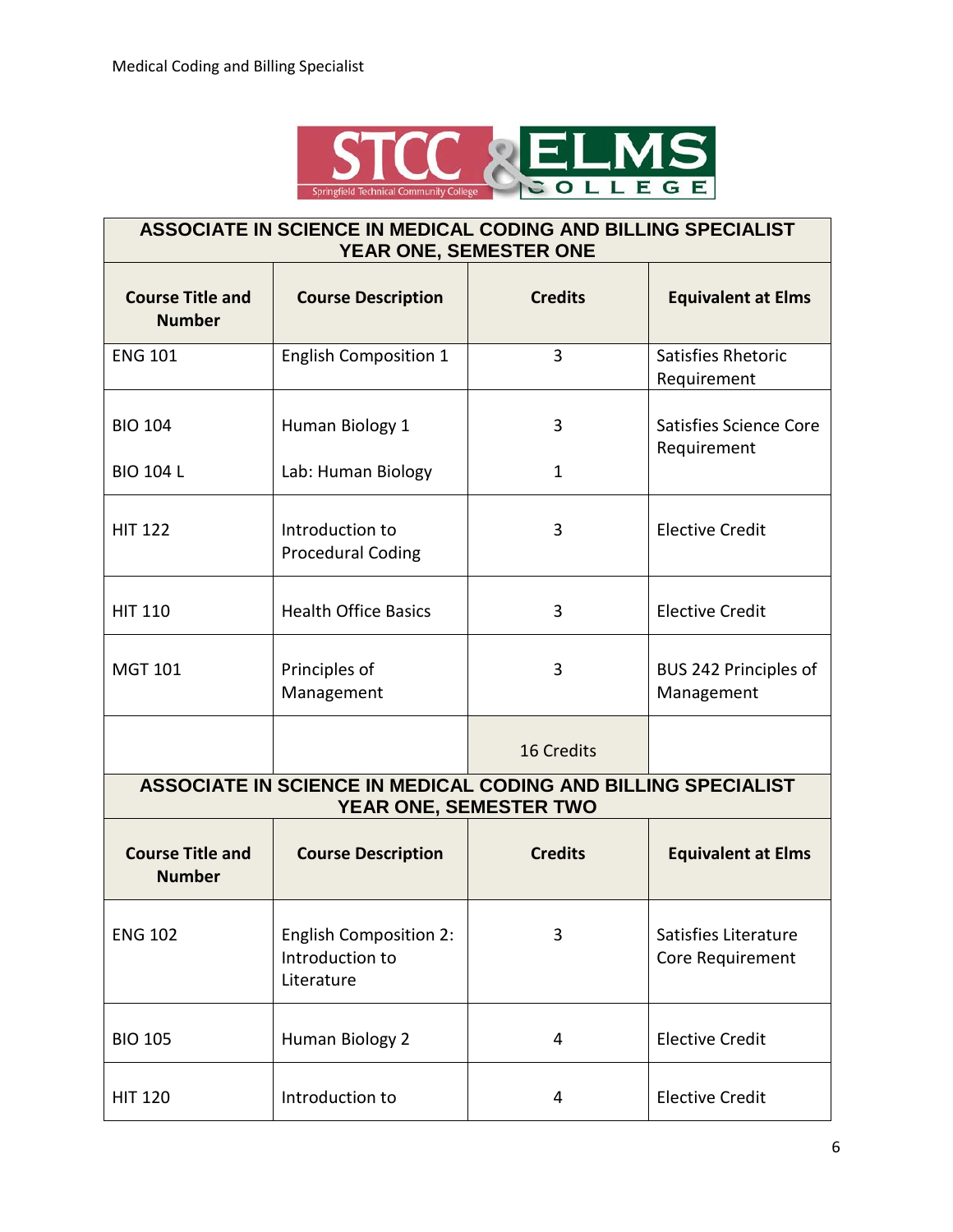

### **ASSOCIATE IN SCIENCE IN MEDICAL CODING AND BILLING SPECIALIST YEAR ONE, SEMESTER ONE Course Title and Course Description Credits Equivalent at Elms**

| <b>Number</b>                            |                                                                                         |                |                                          |  |  |
|------------------------------------------|-----------------------------------------------------------------------------------------|----------------|------------------------------------------|--|--|
| <b>ENG 101</b>                           | <b>English Composition 1</b>                                                            | 3              | Satisfies Rhetoric<br>Requirement        |  |  |
| <b>BIO 104</b>                           | Human Biology 1                                                                         | 3              | Satisfies Science Core<br>Requirement    |  |  |
| <b>BIO 104 L</b>                         | Lab: Human Biology                                                                      | $\mathbf{1}$   |                                          |  |  |
| <b>HIT 122</b>                           | Introduction to<br><b>Procedural Coding</b>                                             | 3              | <b>Elective Credit</b>                   |  |  |
| <b>HIT 110</b>                           | <b>Health Office Basics</b>                                                             | 3              | <b>Elective Credit</b>                   |  |  |
| <b>MGT 101</b>                           | Principles of<br>Management                                                             | 3              | BUS 242 Principles of<br>Management      |  |  |
|                                          |                                                                                         | 16 Credits     |                                          |  |  |
|                                          | ASSOCIATE IN SCIENCE IN MEDICAL CODING AND BILLING SPECIALIST<br>YEAR ONE, SEMESTER TWO |                |                                          |  |  |
| <b>Course Title and</b><br><b>Number</b> | <b>Course Description</b>                                                               | <b>Credits</b> | <b>Equivalent at Elms</b>                |  |  |
| <b>ENG 102</b>                           | <b>English Composition 2:</b><br>Introduction to<br>Literature                          | 3              | Satisfies Literature<br>Core Requirement |  |  |
| <b>BIO 105</b>                           | Human Biology 2                                                                         | 4              | <b>Elective Credit</b>                   |  |  |
| <b>HIT 120</b>                           | Introduction to                                                                         | 4              | <b>Elective Credit</b>                   |  |  |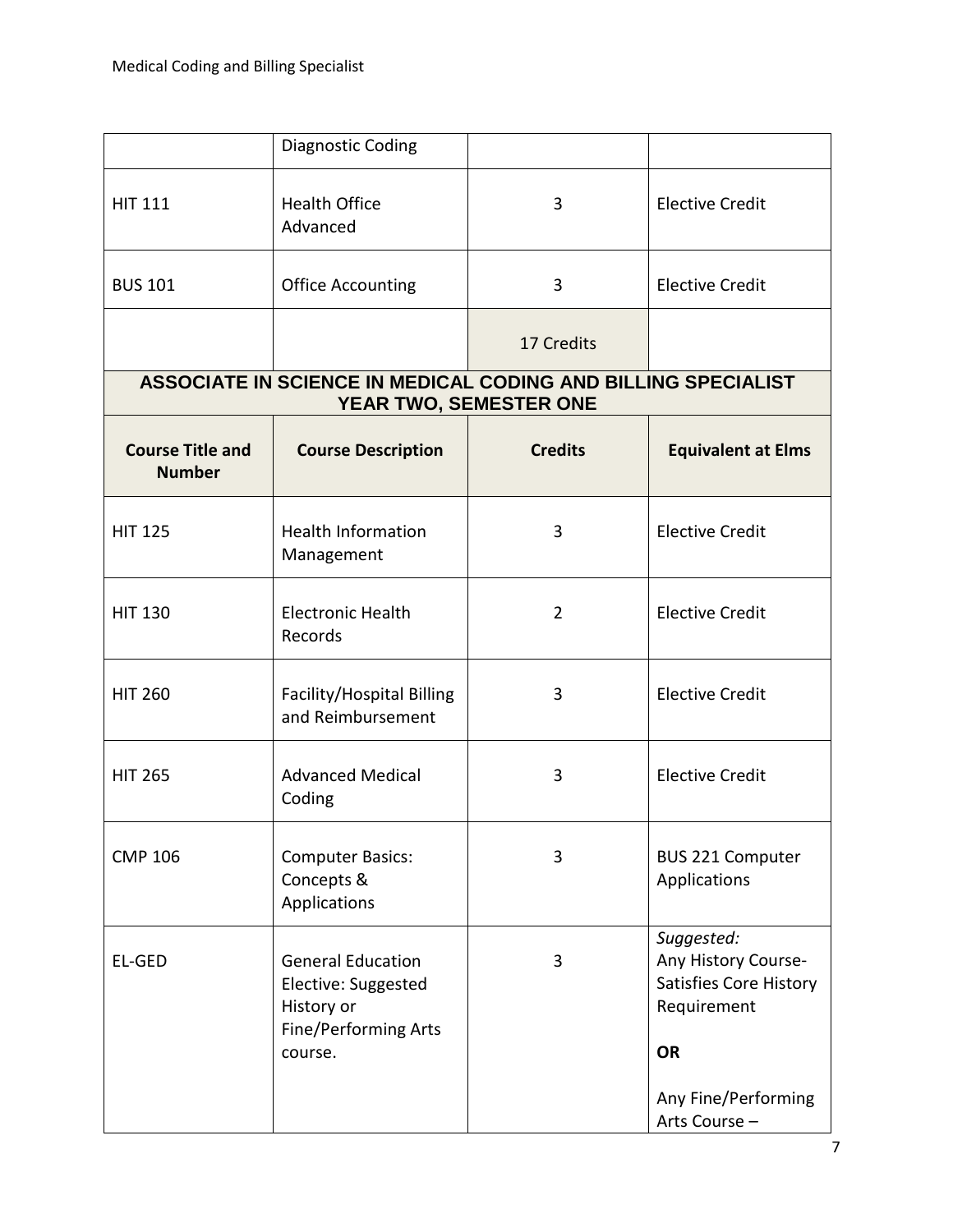|                                          | Diagnostic Coding                                                                                |                        |                                                                                                |
|------------------------------------------|--------------------------------------------------------------------------------------------------|------------------------|------------------------------------------------------------------------------------------------|
| <b>HIT 111</b>                           | <b>Health Office</b><br>Advanced                                                                 | 3                      | <b>Elective Credit</b>                                                                         |
| <b>BUS 101</b>                           | <b>Office Accounting</b>                                                                         | 3                      | <b>Elective Credit</b>                                                                         |
|                                          |                                                                                                  | 17 Credits             |                                                                                                |
|                                          | ASSOCIATE IN SCIENCE IN MEDICAL CODING AND BILLING SPECIALIST                                    | YEAR TWO, SEMESTER ONE |                                                                                                |
| <b>Course Title and</b><br><b>Number</b> | <b>Course Description</b>                                                                        | <b>Credits</b>         | <b>Equivalent at Elms</b>                                                                      |
| <b>HIT 125</b>                           | <b>Health Information</b><br>Management                                                          | 3                      | <b>Elective Credit</b>                                                                         |
| <b>HIT 130</b>                           | <b>Electronic Health</b><br>Records                                                              | $\overline{2}$         | <b>Elective Credit</b>                                                                         |
| <b>HIT 260</b>                           | Facility/Hospital Billing<br>and Reimbursement                                                   | 3                      | <b>Elective Credit</b>                                                                         |
| <b>HIT 265</b>                           | <b>Advanced Medical</b><br>Coding                                                                | 3                      | <b>Elective Credit</b>                                                                         |
| <b>CMP 106</b>                           | <b>Computer Basics:</b><br>Concepts &<br>Applications                                            | 3                      | <b>BUS 221 Computer</b><br>Applications                                                        |
| EL-GED                                   | <b>General Education</b><br>Elective: Suggested<br>History or<br>Fine/Performing Arts<br>course. | 3                      | Suggested:<br>Any History Course-<br><b>Satisfies Core History</b><br>Requirement<br><b>OR</b> |
|                                          |                                                                                                  |                        | Any Fine/Performing<br>Arts Course -                                                           |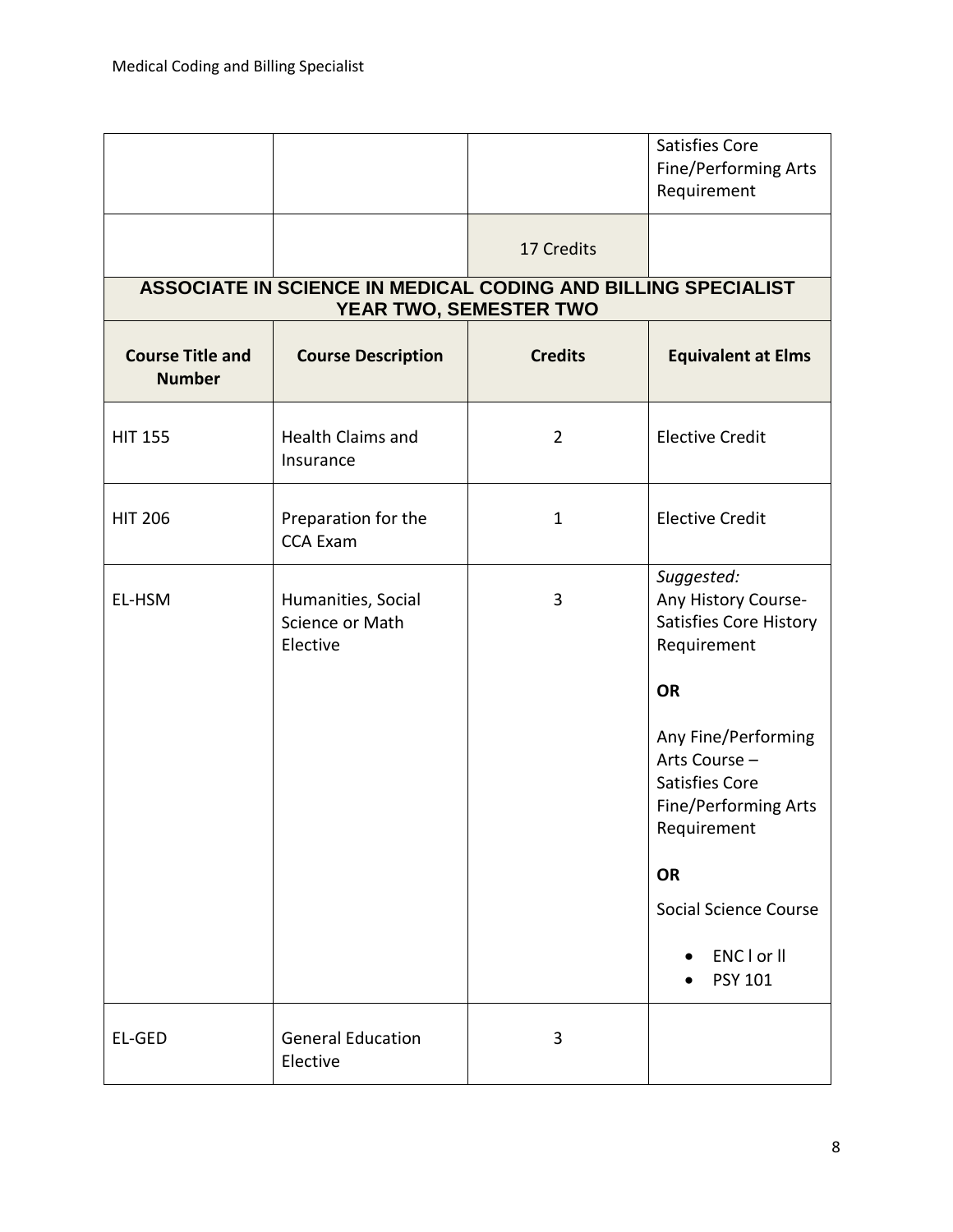|                                          |                                                               |                        | Satisfies Core<br>Fine/Performing Arts<br>Requirement                                                                                                                                                         |
|------------------------------------------|---------------------------------------------------------------|------------------------|---------------------------------------------------------------------------------------------------------------------------------------------------------------------------------------------------------------|
|                                          |                                                               | 17 Credits             |                                                                                                                                                                                                               |
|                                          | ASSOCIATE IN SCIENCE IN MEDICAL CODING AND BILLING SPECIALIST | YEAR TWO, SEMESTER TWO |                                                                                                                                                                                                               |
| <b>Course Title and</b><br><b>Number</b> | <b>Course Description</b>                                     | <b>Credits</b>         | <b>Equivalent at Elms</b>                                                                                                                                                                                     |
| <b>HIT 155</b>                           | Health Claims and<br>Insurance                                | $\overline{2}$         | <b>Elective Credit</b>                                                                                                                                                                                        |
| <b>HIT 206</b>                           | Preparation for the<br><b>CCA Exam</b>                        | $\mathbf{1}$           | <b>Elective Credit</b>                                                                                                                                                                                        |
| EL-HSM                                   | Humanities, Social<br>Science or Math<br>Elective             | 3                      | Suggested:<br>Any History Course-<br><b>Satisfies Core History</b><br>Requirement<br><b>OR</b><br>Any Fine/Performing<br>Arts Course -<br><b>Satisfies Core</b><br><b>Fine/Performing Arts</b><br>Requirement |
|                                          |                                                               |                        | <b>OR</b><br><b>Social Science Course</b><br>ENC I or II<br><b>PSY 101</b>                                                                                                                                    |
| EL-GED                                   | <b>General Education</b><br>Elective                          | 3                      |                                                                                                                                                                                                               |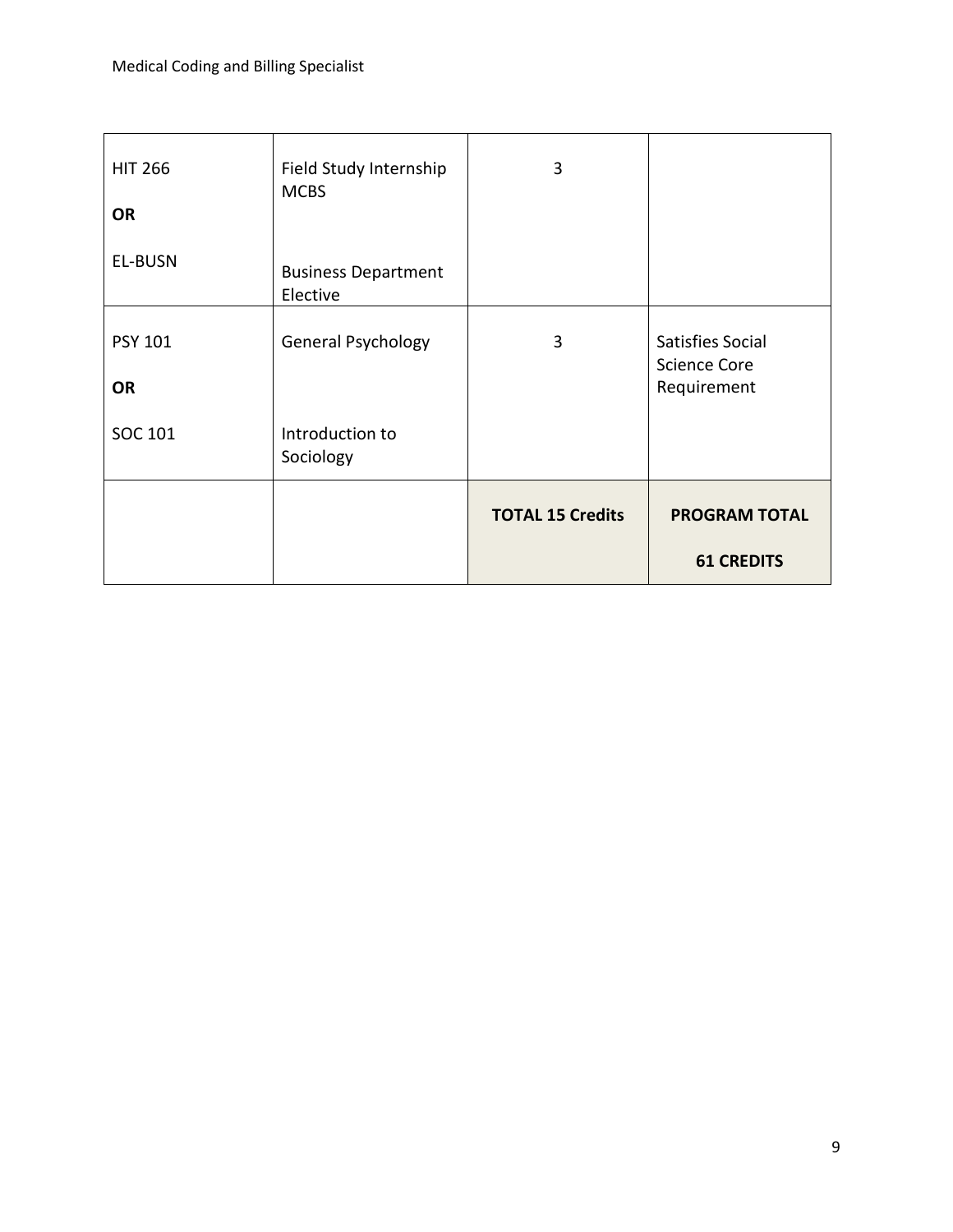| <b>HIT 266</b><br><b>OR</b> | Field Study Internship<br><b>MCBS</b>  | 3                       |                                                        |
|-----------------------------|----------------------------------------|-------------------------|--------------------------------------------------------|
| EL-BUSN                     | <b>Business Department</b><br>Elective |                         |                                                        |
| <b>PSY 101</b><br><b>OR</b> | General Psychology                     | 3                       | Satisfies Social<br><b>Science Core</b><br>Requirement |
| SOC 101                     | Introduction to<br>Sociology           |                         |                                                        |
|                             |                                        | <b>TOTAL 15 Credits</b> | <b>PROGRAM TOTAL</b>                                   |
|                             |                                        |                         | <b>61 CREDITS</b>                                      |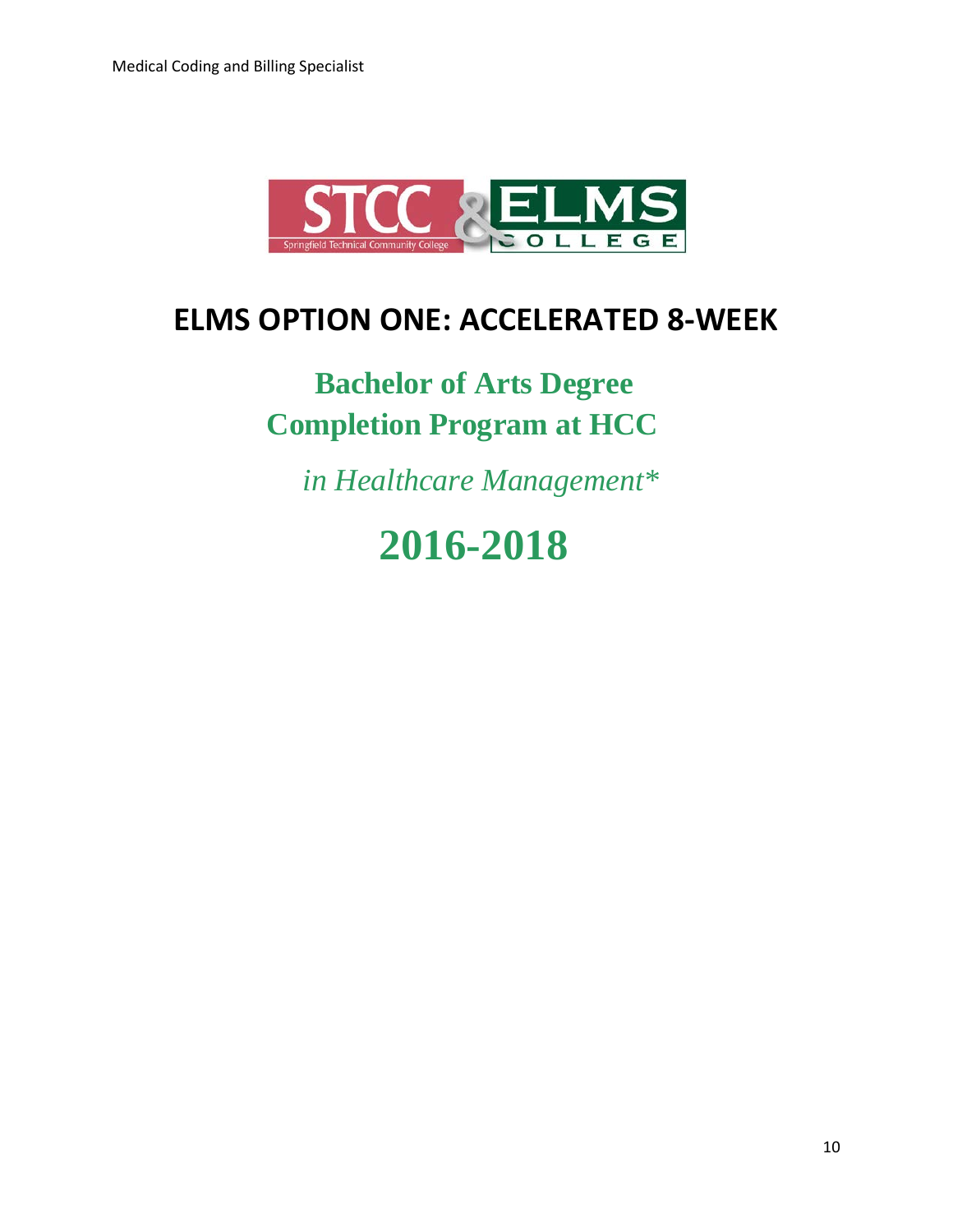

### **ELMS OPTION ONE: ACCELERATED 8-WEEK**

## **Bachelor of Arts Degree Completion Program at HCC**

 *in Healthcare Management\**

# **2016-2018**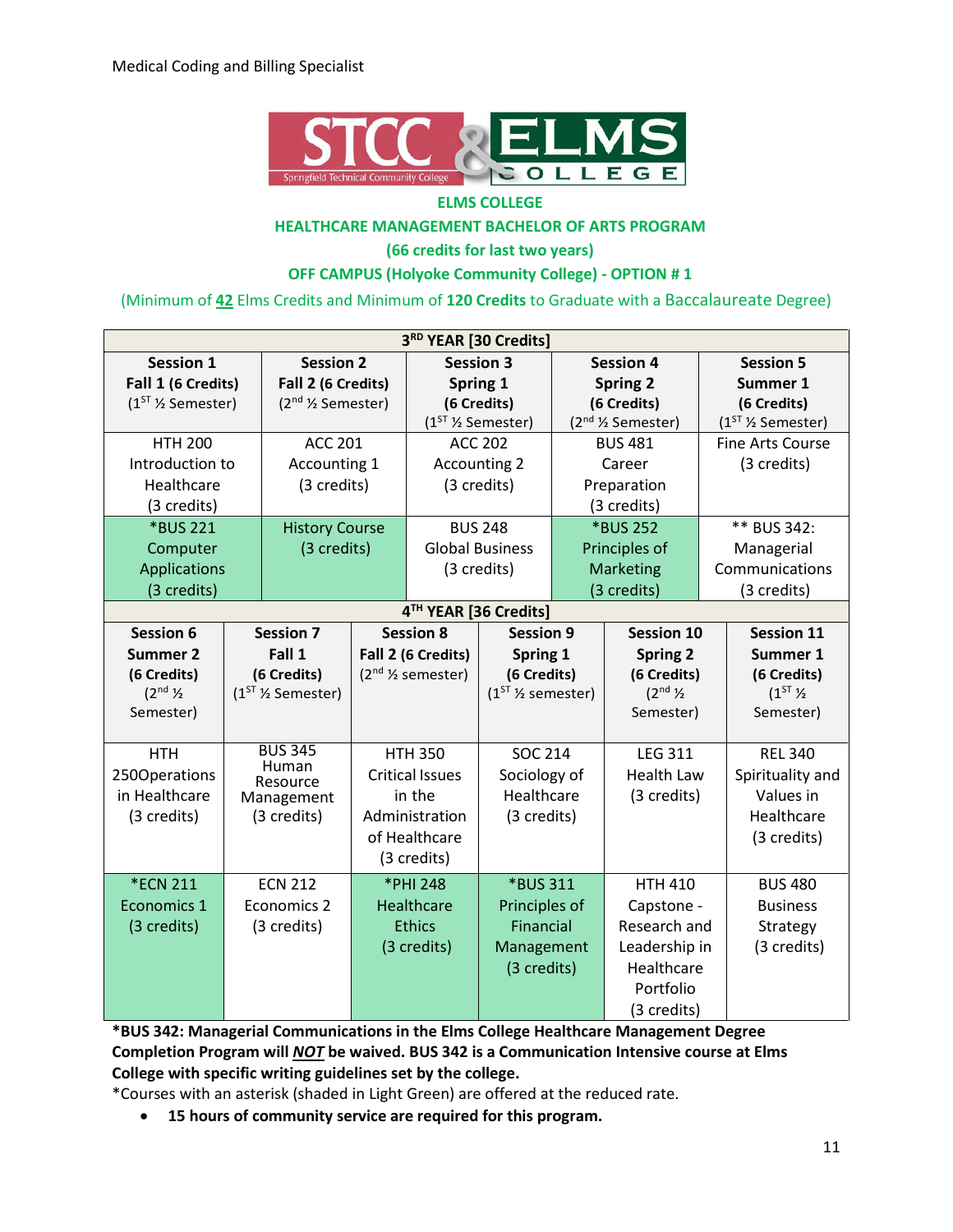

#### **ELMS COLLEGE**

#### **HEALTHCARE MANAGEMENT BACHELOR OF ARTS PROGRAM**

**(66 credits for last two years)**

#### **OFF CAMPUS (Holyoke Community College) - OPTION # 1**

(Minimum of **42** Elms Credits and Minimum of **120 Credits** to Graduate with a Baccalaureate Degree)

| 3RD YEAR [30 Credits]    |  |                                           |             |                                |                        |                  |                                            |                         |  |
|--------------------------|--|-------------------------------------------|-------------|--------------------------------|------------------------|------------------|--------------------------------------------|-------------------------|--|
| <b>Session 1</b>         |  | <b>Session 2</b>                          |             | <b>Session 3</b>               |                        | <b>Session 4</b> |                                            | <b>Session 5</b>        |  |
| Fall 1 (6 Credits)       |  | Fall 2 (6 Credits)                        |             | Spring 1                       |                        | <b>Spring 2</b>  |                                            | Summer 1                |  |
| $(1ST$ % Semester)       |  | (2 <sup>nd</sup> <sup>1/2</sup> Semester) |             |                                | (6 Credits)            | (6 Credits)      |                                            | (6 Credits)             |  |
|                          |  |                                           |             |                                | $(1ST$ % Semester)     |                  | (2 <sup>nd</sup> 1/ <sub>2</sub> Semester) | $(1ST$ % Semester)      |  |
| <b>HTH 200</b>           |  | <b>ACC 201</b>                            |             |                                | <b>ACC 202</b>         |                  | <b>BUS 481</b>                             | <b>Fine Arts Course</b> |  |
| Introduction to          |  | Accounting 1                              |             |                                | <b>Accounting 2</b>    |                  | Career                                     | (3 credits)             |  |
| Healthcare               |  | (3 credits)                               |             |                                | (3 credits)            |                  | Preparation                                |                         |  |
| (3 credits)              |  |                                           |             |                                |                        |                  | (3 credits)                                |                         |  |
| *BUS 221                 |  | <b>History Course</b>                     |             |                                | <b>BUS 248</b>         |                  | *BUS 252                                   | ** BUS 342:             |  |
| Computer                 |  | (3 credits)                               |             |                                | <b>Global Business</b> |                  | Principles of                              | Managerial              |  |
| <b>Applications</b>      |  |                                           |             |                                | (3 credits)            |                  | Marketing                                  | Communications          |  |
| (3 credits)              |  |                                           |             |                                |                        |                  | (3 credits)                                | (3 credits)             |  |
|                          |  |                                           |             |                                | 4TH YEAR [36 Credits]  |                  |                                            |                         |  |
| <b>Session 6</b>         |  | <b>Session 7</b>                          |             | <b>Session 8</b>               | <b>Session 9</b>       |                  | <b>Session 10</b>                          | <b>Session 11</b>       |  |
| <b>Summer 2</b>          |  | Fall 1                                    |             | Spring 1<br>Fall 2 (6 Credits) |                        |                  | <b>Spring 2</b>                            | Summer 1                |  |
| (6 Credits)              |  | (6 Credits)                               |             | $(2nd$ % semester)             | (6 Credits)            |                  | (6 Credits)                                | (6 Credits)             |  |
| $(2^{nd}$ $\frac{1}{2})$ |  | $(1ST$ % Semester)                        |             |                                | $(1ST$ % semester)     |                  | $(2^{nd}$ $\frac{1}{2})$                   | $(1^{ST}\%$             |  |
| Semester)                |  |                                           |             |                                |                        |                  | Semester)                                  | Semester)               |  |
|                          |  | <b>BUS 345</b>                            |             |                                |                        |                  |                                            |                         |  |
| <b>HTH</b>               |  | Human                                     |             | <b>HTH 350</b>                 | <b>SOC 214</b>         |                  | <b>LEG 311</b>                             | <b>REL 340</b>          |  |
| 250Operations            |  | Resource                                  |             | <b>Critical Issues</b>         | Sociology of           |                  | <b>Health Law</b>                          | Spirituality and        |  |
| in Healthcare            |  | Management                                |             | Healthcare<br>in the           |                        |                  | (3 credits)                                | Values in               |  |
| (3 credits)              |  | (3 credits)                               |             | Administration<br>(3 credits)  |                        |                  |                                            | Healthcare              |  |
|                          |  |                                           |             | of Healthcare                  |                        |                  |                                            | (3 credits)             |  |
|                          |  |                                           | (3 credits) |                                |                        |                  |                                            |                         |  |
| <b>*ECN 211</b>          |  | <b>ECN 212</b>                            |             | *PHI 248                       | *BUS 311               |                  | <b>HTH 410</b>                             | <b>BUS 480</b>          |  |
| Economics 1              |  | Economics 2                               |             | <b>Healthcare</b>              | Principles of          |                  | Capstone -                                 | <b>Business</b>         |  |
| (3 credits)              |  | (3 credits)                               |             | <b>Ethics</b>                  | Financial              |                  | Research and                               | Strategy                |  |
|                          |  |                                           |             | (3 credits)                    | Management             |                  | Leadership in                              | (3 credits)             |  |
|                          |  |                                           |             |                                | (3 credits)            |                  | Healthcare                                 |                         |  |
|                          |  |                                           |             |                                |                        |                  | Portfolio                                  |                         |  |
|                          |  |                                           |             |                                |                        |                  | (3 credits)                                |                         |  |

**\*BUS 342: Managerial Communications in the Elms College Healthcare Management Degree Completion Program will** *NOT* **be waived. BUS 342 is a Communication Intensive course at Elms College with specific writing guidelines set by the college.** 

\*Courses with an asterisk (shaded in Light Green) are offered at the reduced rate.

• **15 hours of community service are required for this program.**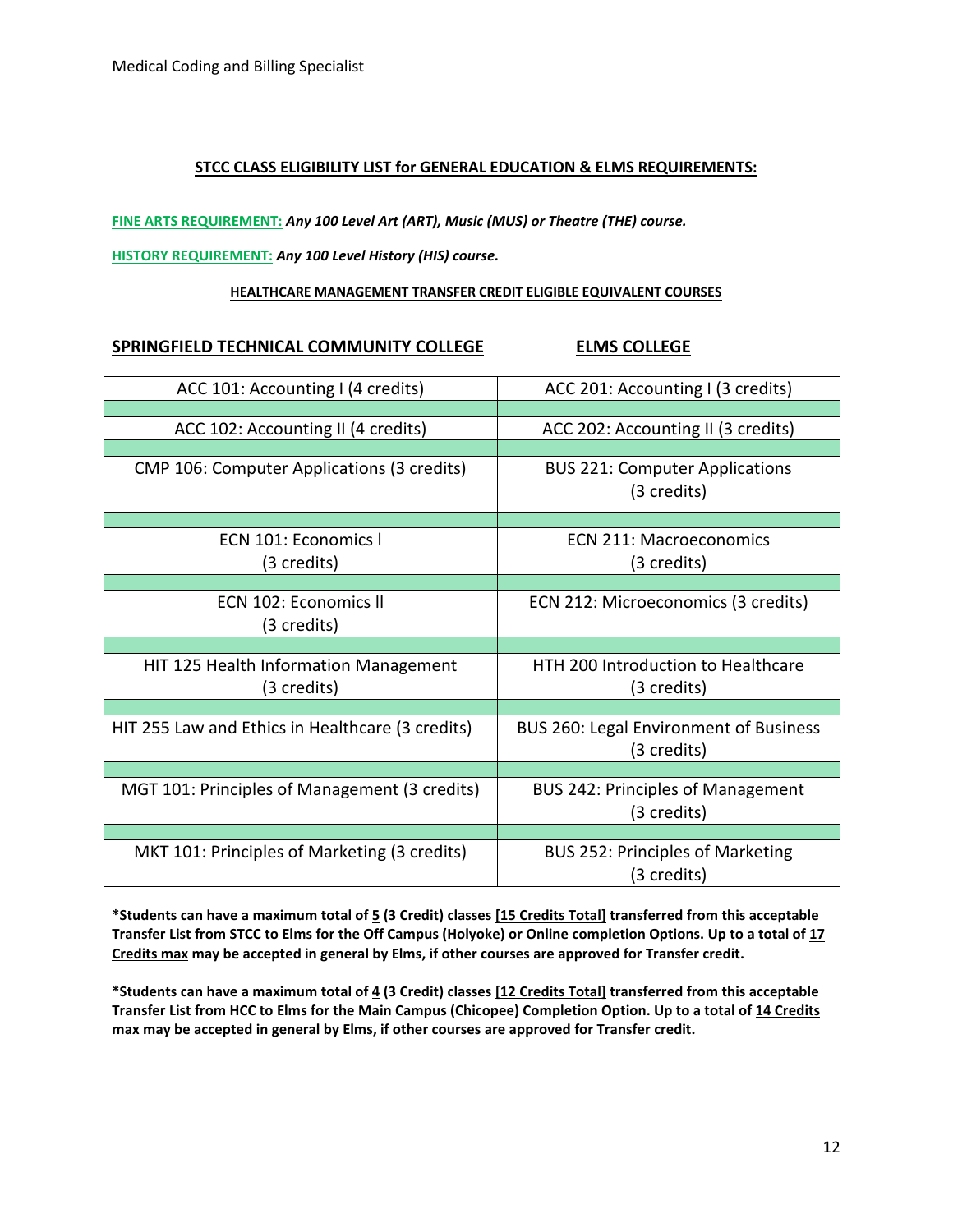#### **STCC CLASS ELIGIBILITY LIST for GENERAL EDUCATION & ELMS REQUIREMENTS:**

**FINE ARTS REQUIREMENT:** *Any 100 Level Art (ART), Music (MUS) or Theatre (THE) course.*

#### **HISTORY REQUIREMENT:** *Any 100 Level History (HIS) course.*

#### **HEALTHCARE MANAGEMENT TRANSFER CREDIT ELIGIBLE EQUIVALENT COURSES**

#### SPRINGFIELD TECHNICAL COMMUNITY COLLEGE **ELMS COLLEGE**

| ACC 101: Accounting I (4 credits)                    | ACC 201: Accounting I (3 credits)                        |
|------------------------------------------------------|----------------------------------------------------------|
|                                                      |                                                          |
| ACC 102: Accounting II (4 credits)                   | ACC 202: Accounting II (3 credits)                       |
|                                                      |                                                          |
| CMP 106: Computer Applications (3 credits)           | <b>BUS 221: Computer Applications</b><br>(3 credits)     |
|                                                      |                                                          |
| ECN 101: Economics I<br>(3 credits)                  | <b>ECN 211: Macroeconomics</b><br>(3 credits)            |
|                                                      |                                                          |
| ECN 102: Economics II<br>(3 credits)                 | ECN 212: Microeconomics (3 credits)                      |
|                                                      |                                                          |
| HIT 125 Health Information Management<br>(3 credits) | <b>HTH 200 Introduction to Healthcare</b><br>(3 credits) |
|                                                      |                                                          |
| HIT 255 Law and Ethics in Healthcare (3 credits)     | BUS 260: Legal Environment of Business<br>(3 credits)    |
|                                                      |                                                          |
| MGT 101: Principles of Management (3 credits)        | <b>BUS 242: Principles of Management</b><br>(3 credits)  |
|                                                      |                                                          |
| MKT 101: Principles of Marketing (3 credits)         | <b>BUS 252: Principles of Marketing</b><br>(3 credits)   |

**\*Students can have a maximum total of 5 (3 Credit) classes [15 Credits Total] transferred from this acceptable Transfer List from STCC to Elms for the Off Campus (Holyoke) or Online completion Options. Up to a total of 17 Credits max may be accepted in general by Elms, if other courses are approved for Transfer credit.**

**\*Students can have a maximum total of 4 (3 Credit) classes [12 Credits Total] transferred from this acceptable Transfer List from HCC to Elms for the Main Campus (Chicopee) Completion Option. Up to a total of 14 Credits max may be accepted in general by Elms, if other courses are approved for Transfer credit.**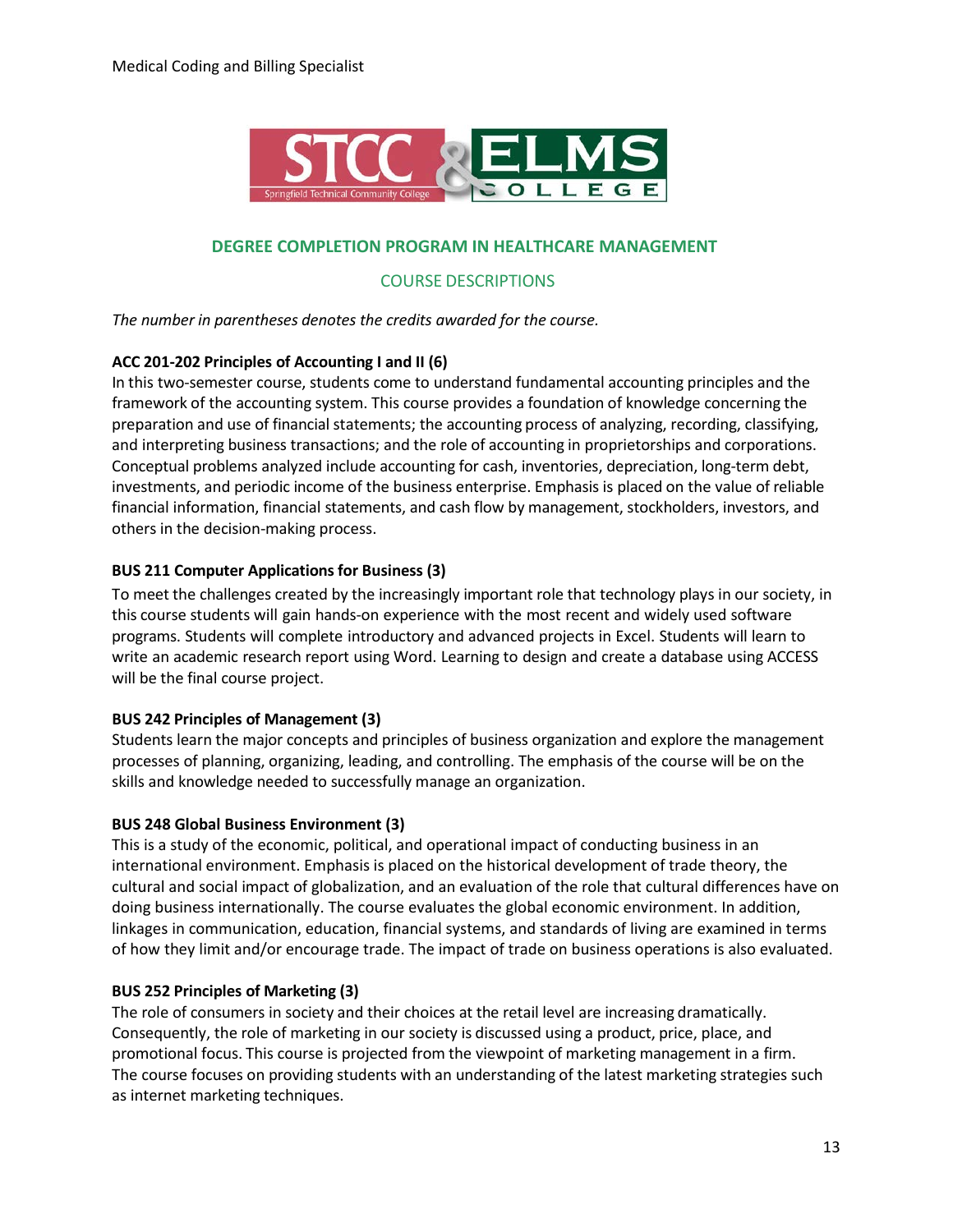

#### **DEGREE COMPLETION PROGRAM IN HEALTHCARE MANAGEMENT**

#### COURSE DESCRIPTIONS

*The number in parentheses denotes the credits awarded for the course.*

#### **ACC 201-202 Principles of Accounting I and II (6)**

In this two-semester course, students come to understand fundamental accounting principles and the framework of the accounting system. This course provides a foundation of knowledge concerning the preparation and use of financial statements; the accounting process of analyzing, recording, classifying, and interpreting business transactions; and the role of accounting in proprietorships and corporations. Conceptual problems analyzed include accounting for cash, inventories, depreciation, long-term debt, investments, and periodic income of the business enterprise. Emphasis is placed on the value of reliable financial information, financial statements, and cash flow by management, stockholders, investors, and others in the decision-making process.

#### **BUS 211 Computer Applicationsfor Business (3)**

To meet the challenges created by the increasingly important role that technology plays in our society, in this course students will gain hands-on experience with the most recent and widely used software programs. Students will complete introductory and advanced projects in Excel. Students will learn to write an academic research report using Word. Learning to design and create a database using ACCESS will be the final course project.

#### **BUS 242 Principles of Management (3)**

Students learn the major concepts and principles of business organization and explore the management processes of planning, organizing, leading, and controlling. The emphasis of the course will be on the skills and knowledge needed to successfully manage an organization.

#### **BUS 248 Global Business Environment (3)**

This is a study of the economic, political, and operational impact of conducting business in an international environment. Emphasis is placed on the historical development of trade theory, the cultural and social impact of globalization, and an evaluation of the role that cultural differences have on doing business internationally. The course evaluates the global economic environment. In addition, linkages in communication, education, financial systems, and standards of living are examined in terms of how they limit and/or encourage trade. The impact of trade on business operations is also evaluated.

#### **BUS 252 Principles of Marketing (3)**

The role of consumers in society and their choices at the retail level are increasing dramatically. Consequently, the role of marketing in our society is discussed using a product, price, place, and promotional focus. This course is projected from the viewpoint of marketing management in a firm. The course focuses on providing students with an understanding of the latest marketing strategies such as internet marketing techniques.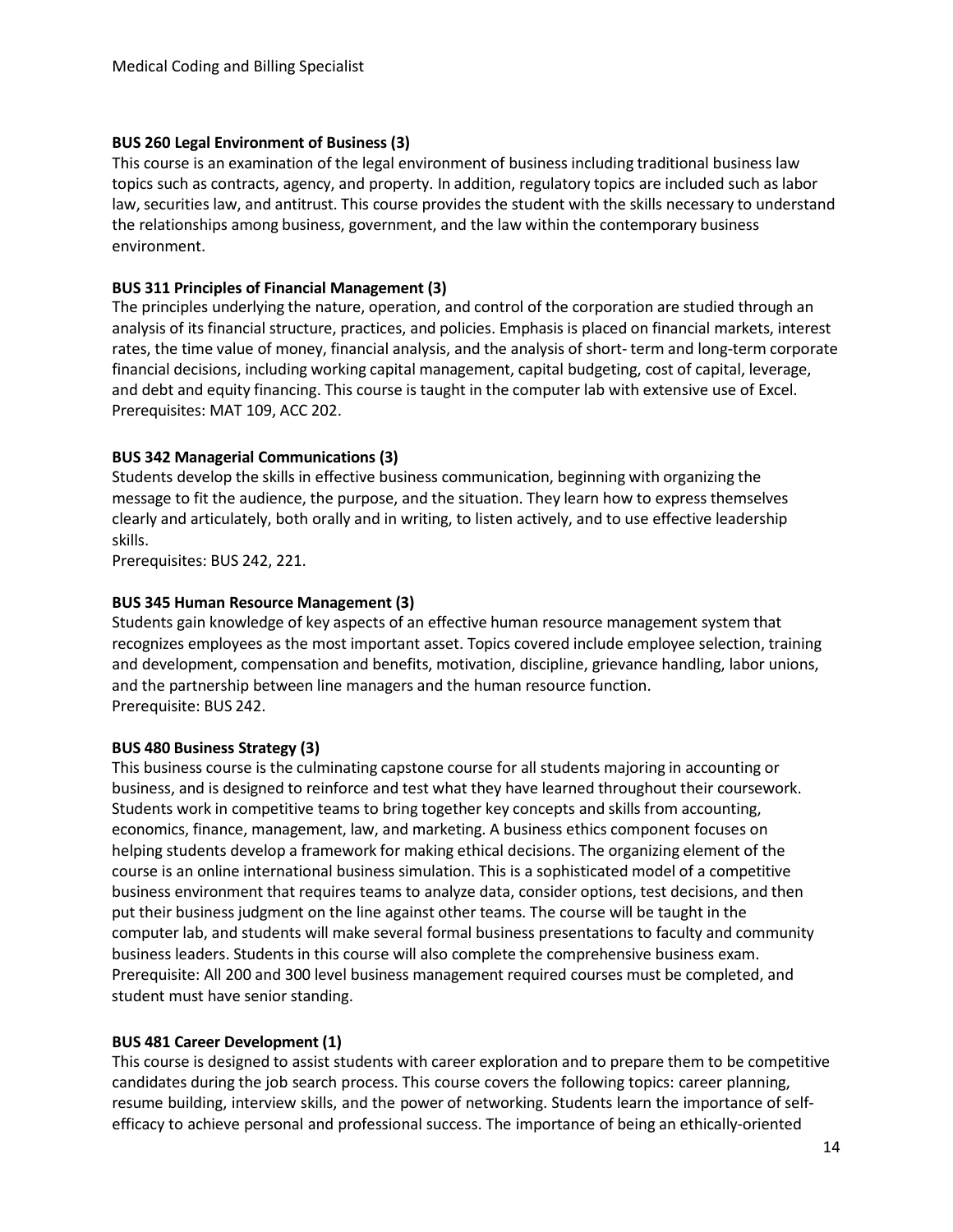#### **BUS 260 Legal Environment of Business (3)**

This course is an examination of the legal environment of business including traditional business law topics such as contracts, agency, and property. In addition, regulatory topics are included such as labor law, securities law, and antitrust. This course provides the student with the skills necessary to understand the relationships among business, government, and the law within the contemporary business environment.

#### **BUS 311 Principles of Financial Management (3)**

The principles underlying the nature, operation, and control of the corporation are studied through an analysis of its financial structure, practices, and policies. Emphasis is placed on financial markets, interest rates, the time value of money, financial analysis, and the analysis of short- term and long-term corporate financial decisions, including working capital management, capital budgeting, cost of capital, leverage, and debt and equity financing. This course is taught in the computer lab with extensive use of Excel. Prerequisites: MAT 109, ACC 202.

#### **BUS 342 Managerial Communications (3)**

Students develop the skills in effective business communication, beginning with organizing the message to fit the audience, the purpose, and the situation. They learn how to express themselves clearly and articulately, both orally and in writing, to listen actively, and to use effective leadership skills.

Prerequisites: BUS 242, 221.

#### **BUS 345 Human Resource Management (3)**

Students gain knowledge of key aspects of an effective human resource management system that recognizes employees as the most important asset. Topics covered include employee selection, training and development, compensation and benefits, motivation, discipline, grievance handling, labor unions, and the partnership between line managers and the human resource function. Prerequisite: BUS 242.

#### **BUS 480 Business Strategy (3)**

This business course is the culminating capstone course for all students majoring in accounting or business, and is designed to reinforce and test what they have learned throughout their coursework. Students work in competitive teams to bring together key concepts and skills from accounting, economics, finance, management, law, and marketing. A business ethics component focuses on helping students develop a framework for making ethical decisions. The organizing element of the course is an online international business simulation. This is a sophisticated model of a competitive business environment that requires teams to analyze data, consider options, test decisions, and then put their business judgment on the line against other teams. The course will be taught in the computer lab, and students will make several formal business presentations to faculty and community business leaders. Students in this course will also complete the comprehensive business exam. Prerequisite: All 200 and 300 level business management required courses must be completed, and student must have senior standing.

#### **BUS 481 Career Development (1)**

This course is designed to assist students with career exploration and to prepare them to be competitive candidates during the job search process. This course covers the following topics: career planning, resume building, interview skills, and the power of networking. Students learn the importance of selfefficacy to achieve personal and professional success. The importance of being an ethically-oriented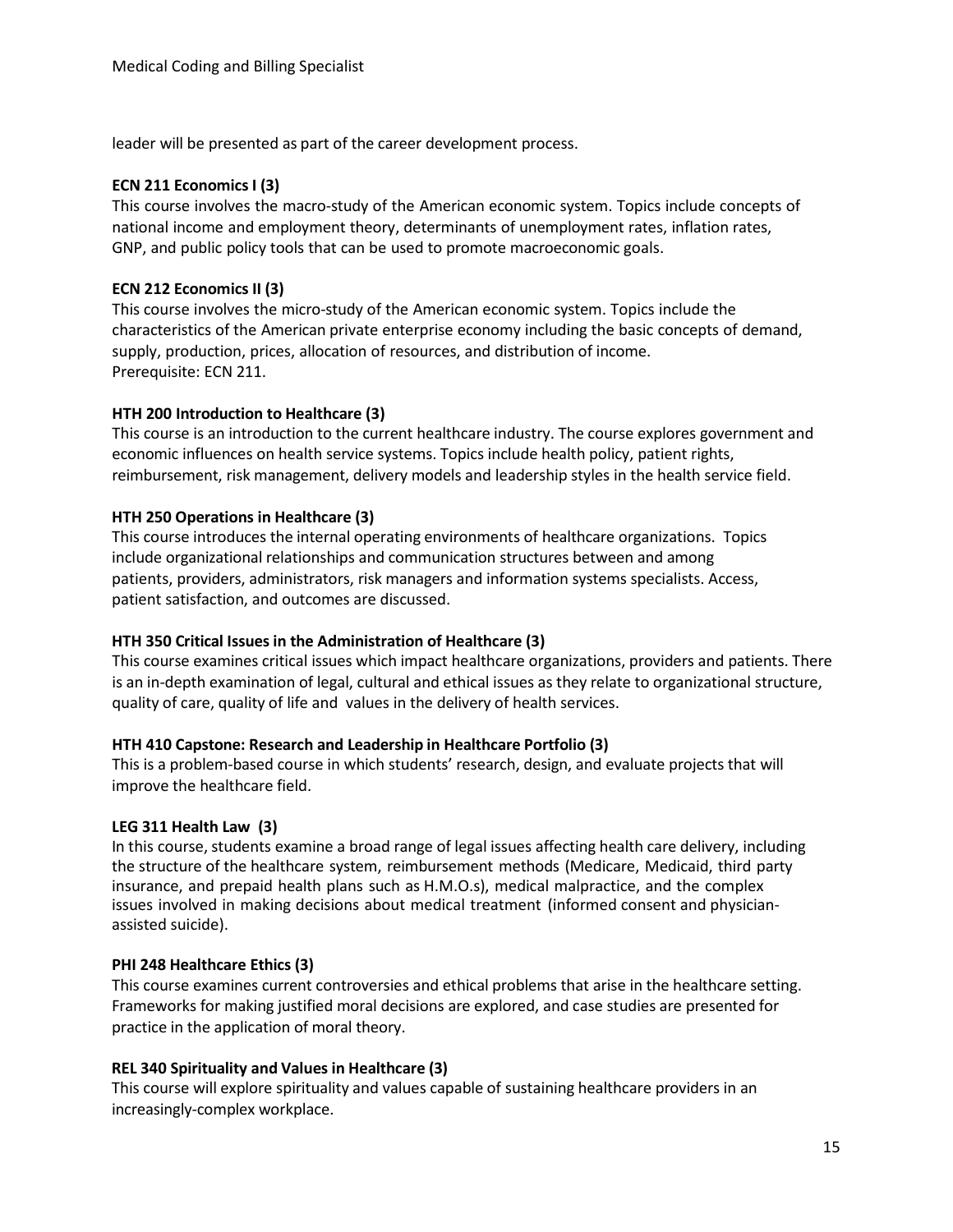leader will be presented as part of the career development process.

#### **ECN 211 EconomicsI (3)**

This course involves the macro-study of the American economic system. Topics include concepts of national income and employment theory, determinants of unemployment rates, inflation rates, GNP, and public policy tools that can be used to promote macroeconomic goals.

#### **ECN 212 Economics II (3)**

This course involves the micro-study of the American economic system. Topics include the characteristics of the American private enterprise economy including the basic concepts of demand, supply, production, prices, allocation of resources, and distribution of income. Prerequisite: ECN 211.

#### **HTH 200 Introduction to Healthcare (3)**

This course is an introduction to the current healthcare industry. The course explores government and economic influences on health service systems. Topics include health policy, patient rights, reimbursement, risk management, delivery models and leadership styles in the health service field.

#### **HTH 250 Operations in Healthcare (3)**

This course introduces the internal operating environments of healthcare organizations. Topics include organizational relationships and communication structures between and among patients, providers, administrators, risk managers and information systems specialists. Access, patient satisfaction, and outcomes are discussed.

#### **HTH 350 Critical Issuesin the Administration of Healthcare (3)**

This course examines critical issues which impact healthcare organizations, providers and patients. There is an in-depth examination of legal, cultural and ethical issues as they relate to organizational structure, quality of care, quality of life and values in the delivery of health services.

#### **HTH 410 Capstone: Research and Leadership in Healthcare Portfolio (3)**

This is a problem-based course in which students' research, design, and evaluate projects that will improve the healthcare field.

#### **LEG 311 Health Law (3)**

In this course, students examine a broad range of legal issues affecting health care delivery, including the structure of the healthcare system, reimbursement methods (Medicare, Medicaid, third party insurance, and prepaid health plans such as H.M.O.s), medical malpractice, and the complex issues involved in making decisions about medical treatment (informed consent and physicianassisted suicide).

#### **PHI 248 Healthcare Ethics (3)**

This course examines current controversies and ethical problems that arise in the healthcare setting. Frameworks for making justified moral decisions are explored, and case studies are presented for practice in the application of moral theory.

#### **REL 340 Spirituality and Values in Healthcare (3)**

This course will explore spirituality and values capable of sustaining healthcare providers in an increasingly-complex workplace.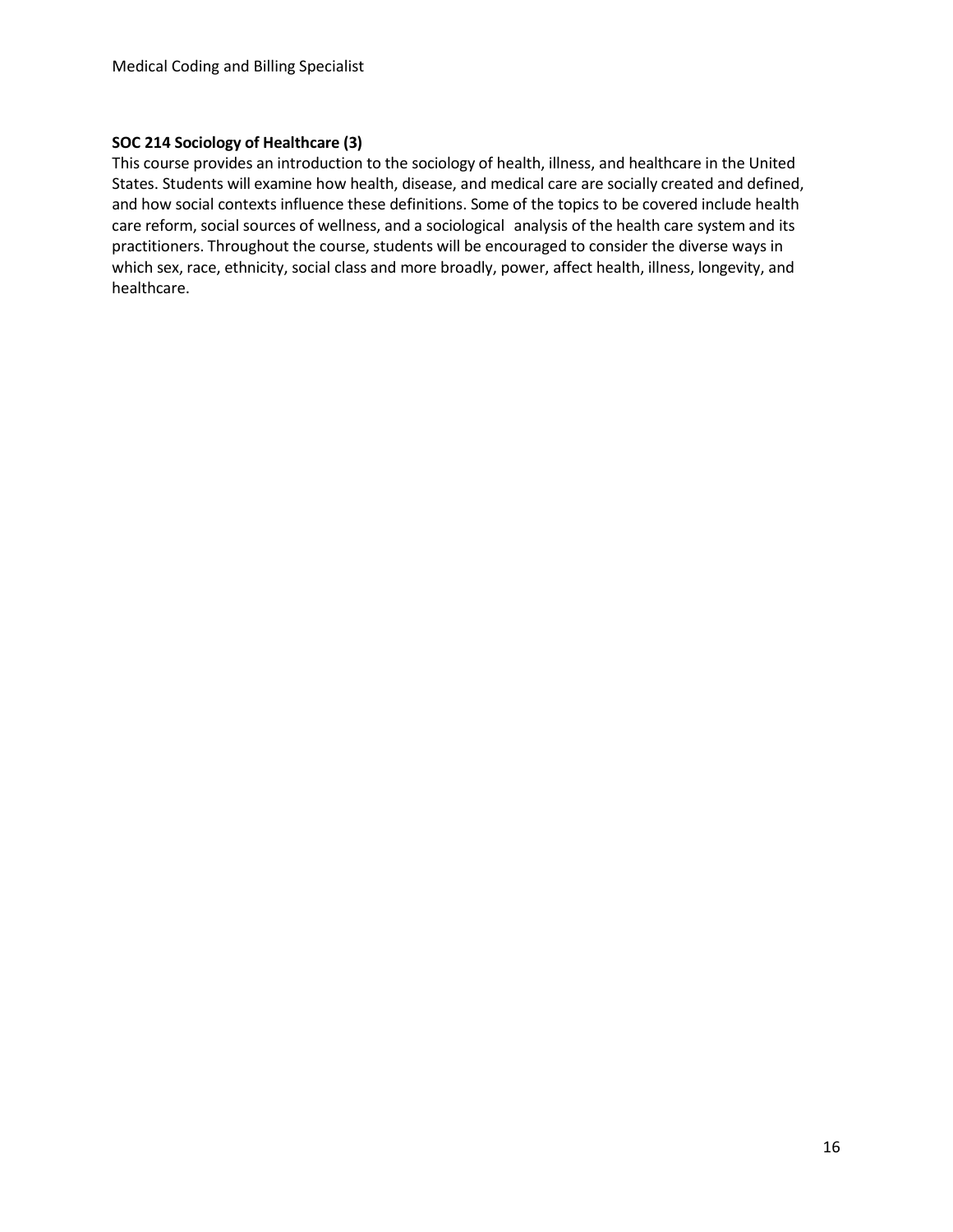#### **SOC 214 Sociology of Healthcare (3)**

This course provides an introduction to the sociology of health, illness, and healthcare in the United States. Students will examine how health, disease, and medical care are socially created and defined, and how social contexts influence these definitions. Some of the topics to be covered include health care reform, social sources of wellness, and a sociological analysis of the health care system and its practitioners. Throughout the course, students will be encouraged to consider the diverse ways in which sex, race, ethnicity, social class and more broadly, power, affect health, illness, longevity, and healthcare.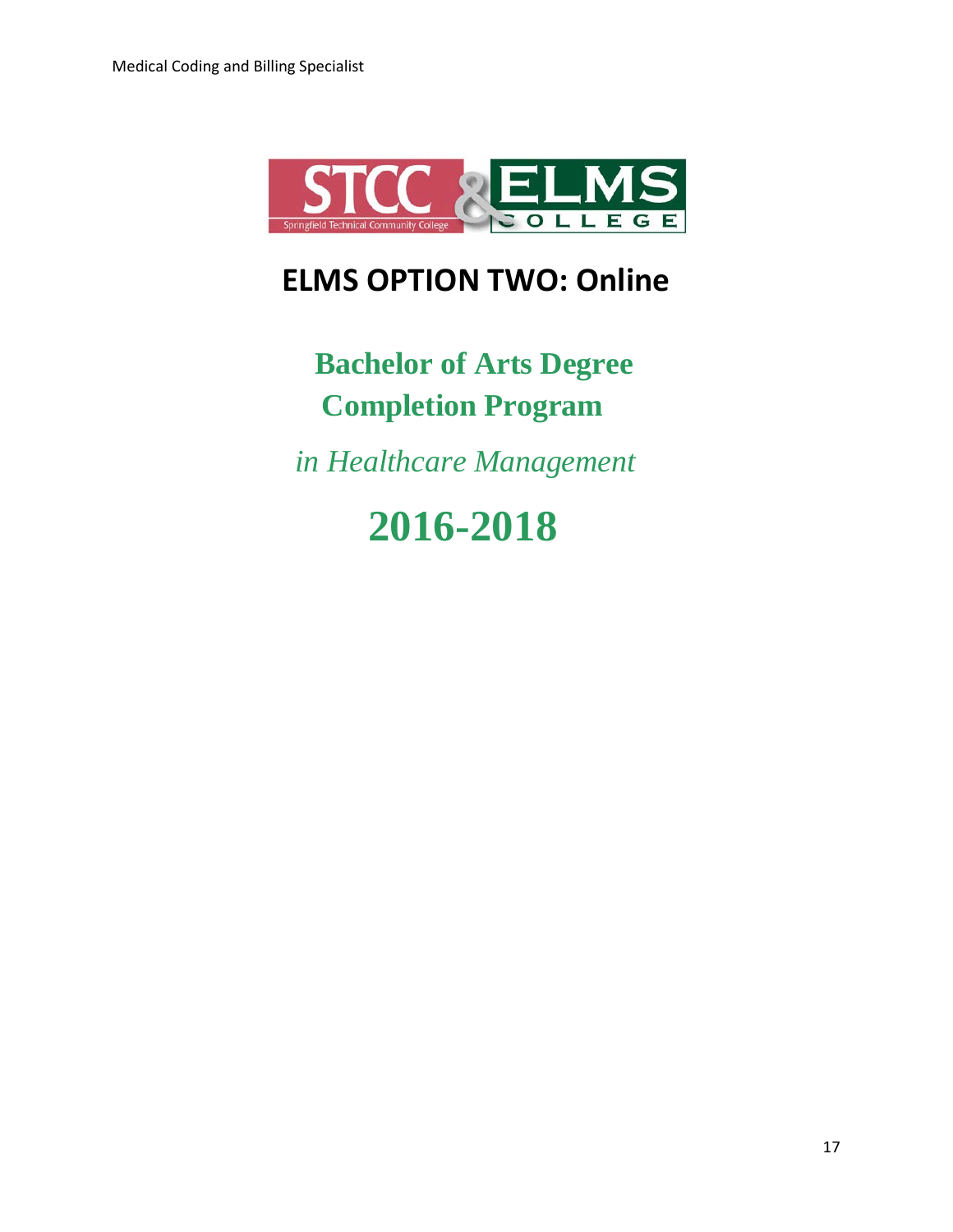

## **ELMS OPTION TWO: Online**

 **Bachelor of Arts Degree Completion Program**

 *in Healthcare Management*

# **2016-2018**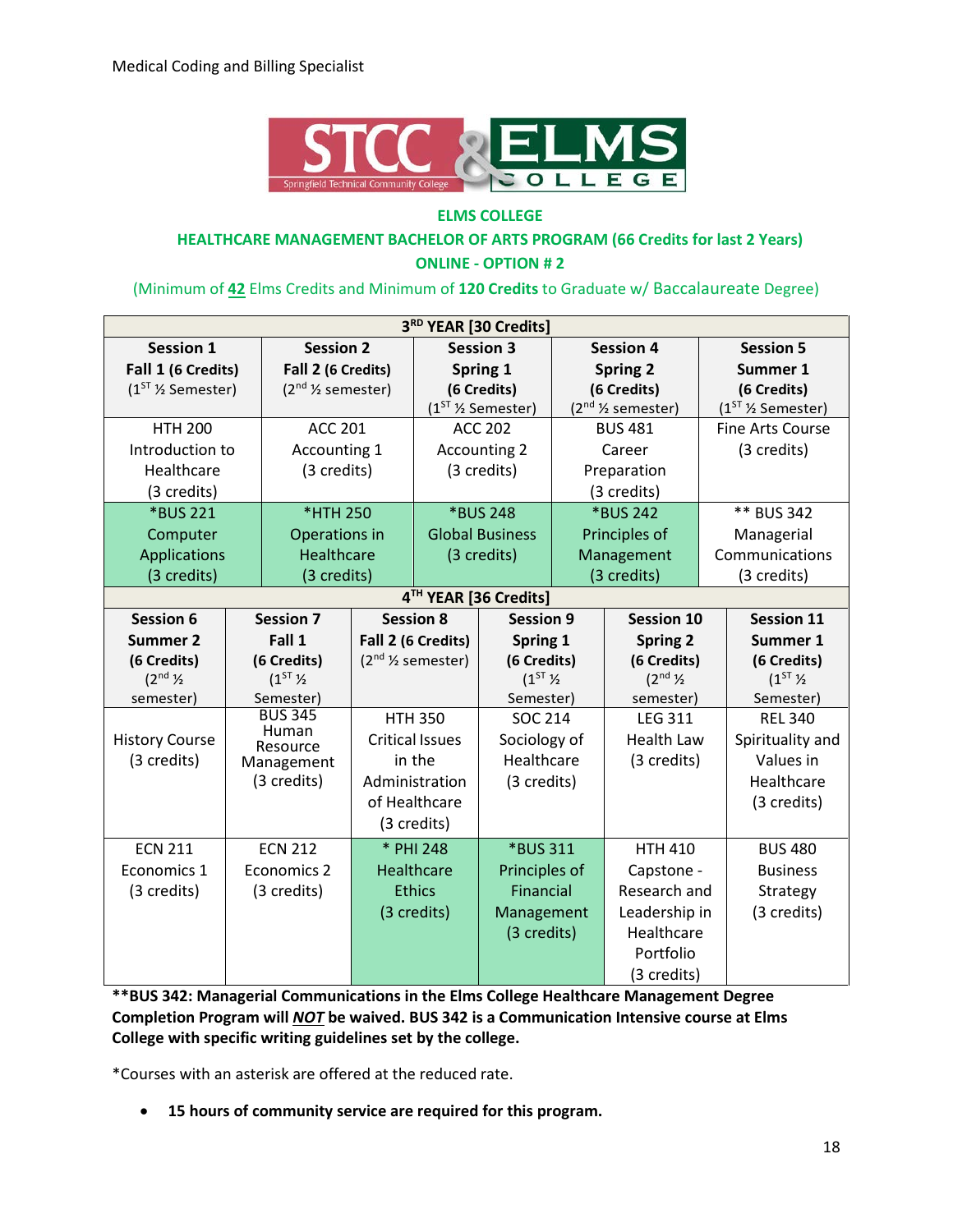

#### **ELMS COLLEGE**

#### **HEALTHCARE MANAGEMENT BACHELOR OF ARTS PROGRAM (66 Credits for last 2 Years) ONLINE - OPTION # 2**

#### (Minimum of **42** Elms Credits and Minimum of **120 Credits** to Graduate w/ Baccalaureate Degree)

| 3RD YEAR [30 Credits]    |  |                                      |                        |                                      |                        |                    |                          |  |                         |  |
|--------------------------|--|--------------------------------------|------------------------|--------------------------------------|------------------------|--------------------|--------------------------|--|-------------------------|--|
| <b>Session 1</b>         |  | <b>Session 2</b><br><b>Session 3</b> |                        | <b>Session 4</b>                     |                        |                    | <b>Session 5</b>         |  |                         |  |
| Fall 1 (6 Credits)       |  | Fall 2 (6 Credits)                   | Spring 1               |                                      | <b>Spring 2</b>        |                    | Summer 1                 |  |                         |  |
| $(1ST$ % Semester)       |  | $(2nd$ % semester)                   |                        |                                      | (6 Credits)            | (6 Credits)        |                          |  | (6 Credits)             |  |
|                          |  |                                      |                        |                                      | $(1ST$ % Semester)     | $(2nd$ % semester) |                          |  | $(1ST$ % Semester)      |  |
| <b>HTH 200</b>           |  | <b>ACC 201</b>                       |                        |                                      | <b>ACC 202</b>         |                    | <b>BUS 481</b>           |  | <b>Fine Arts Course</b> |  |
| Introduction to          |  | Accounting 1                         |                        |                                      | <b>Accounting 2</b>    |                    | Career                   |  | (3 credits)             |  |
| Healthcare               |  | (3 credits)                          |                        |                                      | (3 credits)            |                    | Preparation              |  |                         |  |
| (3 credits)              |  |                                      |                        |                                      |                        |                    | (3 credits)              |  |                         |  |
| *BUS 221                 |  | *HTH 250                             |                        |                                      | *BUS 248               |                    | *BUS 242                 |  | ** BUS 342              |  |
| Computer                 |  | Operations in                        |                        |                                      | <b>Global Business</b> |                    | Principles of            |  | Managerial              |  |
| <b>Applications</b>      |  | Healthcare                           |                        |                                      | (3 credits)            |                    | Management               |  | Communications          |  |
| (3 credits)              |  | (3 credits)                          |                        |                                      |                        |                    | (3 credits)              |  | (3 credits)             |  |
| 4TH YEAR [36 Credits]    |  |                                      |                        |                                      |                        |                    |                          |  |                         |  |
| <b>Session 6</b>         |  | <b>Session 7</b>                     |                        | <b>Session 8</b><br><b>Session 9</b> |                        | <b>Session 10</b>  |                          |  | <b>Session 11</b>       |  |
| <b>Summer 2</b>          |  | Fall 1                               |                        | Fall 2 (6 Credits)<br>Spring 1       |                        |                    | <b>Spring 2</b>          |  | Summer 1                |  |
| (6 Credits)              |  | (6 Credits)                          |                        | $(2nd$ % semester)<br>(6 Credits)    |                        |                    | (6 Credits)              |  | (6 Credits)             |  |
| $(2^{nd}$ $\frac{1}{2})$ |  | $(1^{ST}\%$                          |                        |                                      | $(1^{ST}\%$            |                    | $(2^{nd}$ $\frac{1}{2})$ |  | $(1^{ST}\%$             |  |
| semester)                |  | Semester)                            |                        |                                      | Semester)              |                    | semester)                |  | Semester)               |  |
|                          |  | <b>BUS 345</b><br>Human              | <b>HTH 350</b>         |                                      | <b>SOC 214</b>         |                    | <b>LEG 311</b>           |  | <b>REL 340</b>          |  |
| <b>History Course</b>    |  | Resource                             | <b>Critical Issues</b> |                                      | Sociology of           |                    | <b>Health Law</b>        |  | Spirituality and        |  |
| (3 credits)              |  | Management                           |                        | Healthcare<br>in the                 |                        |                    | (3 credits)              |  | Values in               |  |
|                          |  | (3 credits)                          |                        | Administration<br>(3 credits)        |                        |                    |                          |  | Healthcare              |  |
|                          |  |                                      | of Healthcare          |                                      |                        |                    |                          |  | (3 credits)             |  |
|                          |  |                                      |                        | (3 credits)                          |                        |                    |                          |  |                         |  |
| <b>ECN 211</b>           |  | <b>ECN 212</b>                       |                        | * PHI 248<br>*BUS 311                |                        | <b>HTH 410</b>     |                          |  | <b>BUS 480</b>          |  |
| Economics 1              |  | <b>Economics 2</b>                   |                        | Healthcare                           | Principles of          |                    | Capstone -               |  | <b>Business</b>         |  |
| (3 credits)              |  | (3 credits)                          |                        | <b>Ethics</b>                        | Financial              |                    | Research and             |  | Strategy                |  |
|                          |  |                                      |                        | (3 credits)                          | Management             |                    | Leadership in            |  | (3 credits)             |  |
|                          |  |                                      |                        |                                      | (3 credits)            |                    | Healthcare               |  |                         |  |
|                          |  |                                      |                        |                                      |                        |                    | Portfolio                |  |                         |  |
|                          |  |                                      |                        |                                      |                        |                    | (3 credits)              |  |                         |  |

**\*\*BUS 342: Managerial Communications in the Elms College Healthcare Management Degree Completion Program will** *NOT* **be waived. BUS 342 is a Communication Intensive course at Elms College with specific writing guidelines set by the college.** 

\*Courses with an asterisk are offered at the reduced rate.

• **15 hours of community service are required for this program.**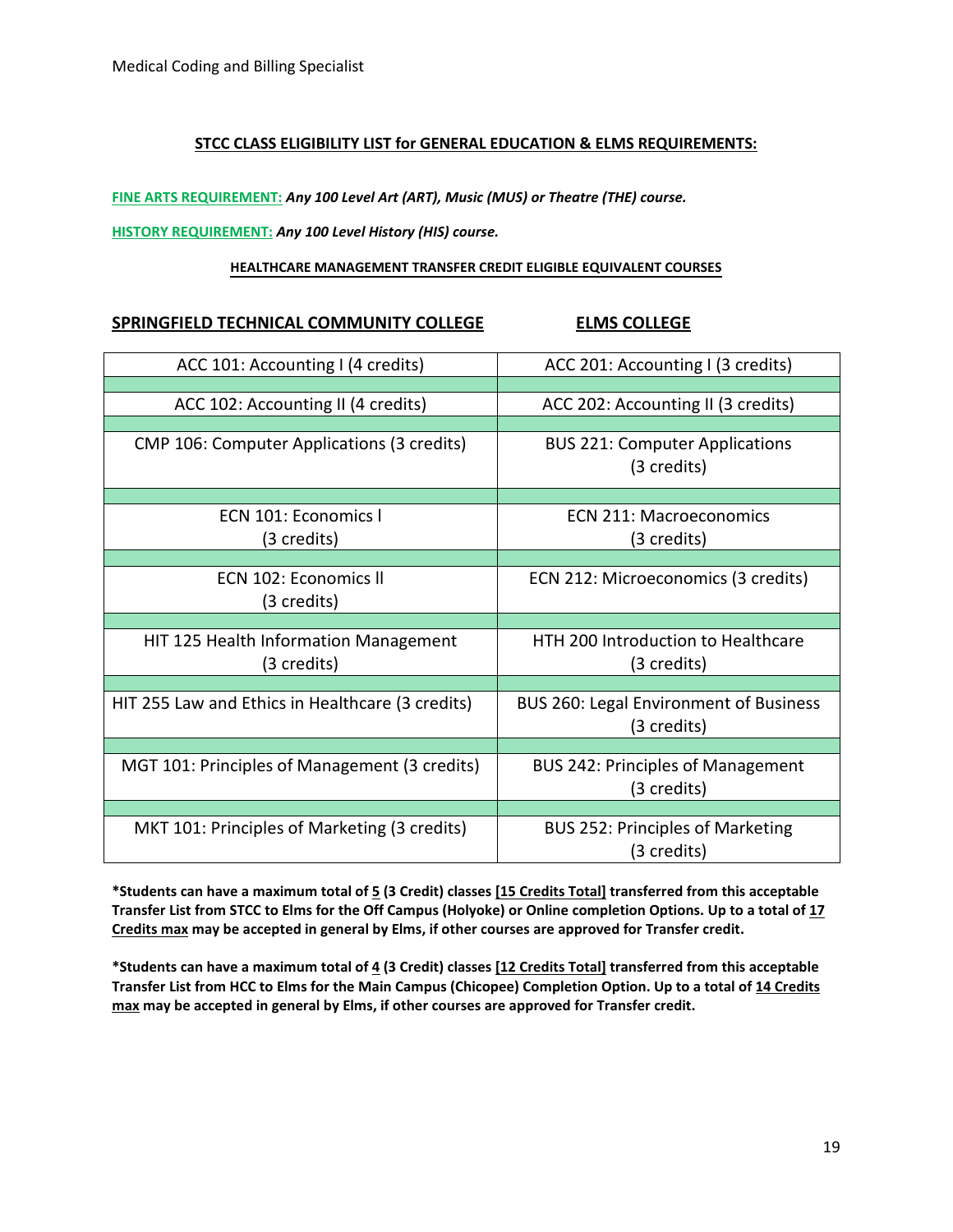#### **STCC CLASS ELIGIBILITY LIST for GENERAL EDUCATION & ELMS REQUIREMENTS:**

**FINE ARTS REQUIREMENT:** *Any 100 Level Art (ART), Music (MUS) or Theatre (THE) course.*

#### **HISTORY REQUIREMENT:** *Any 100 Level History (HIS) course.*

#### **HEALTHCARE MANAGEMENT TRANSFER CREDIT ELIGIBLE EQUIVALENT COURSES**

#### **SPRINGFIELD TECHNICAL COMMUNITY COLLEGE ELMS COLLEGE**

| ACC 101: Accounting I (4 credits)                | ACC 201: Accounting I (3 credits)                            |
|--------------------------------------------------|--------------------------------------------------------------|
|                                                  |                                                              |
| ACC 102: Accounting II (4 credits)               | ACC 202: Accounting II (3 credits)                           |
| CMP 106: Computer Applications (3 credits)       | <b>BUS 221: Computer Applications</b><br>(3 credits)         |
|                                                  |                                                              |
| ECN 101: Economics I<br>(3 credits)              | ECN 211: Macroeconomics<br>(3 credits)                       |
|                                                  |                                                              |
| ECN 102: Economics II                            | ECN 212: Microeconomics (3 credits)                          |
| (3 credits)                                      |                                                              |
|                                                  |                                                              |
| HIT 125 Health Information Management            | HTH 200 Introduction to Healthcare                           |
| (3 credits)                                      | (3 credits)                                                  |
|                                                  |                                                              |
| HIT 255 Law and Ethics in Healthcare (3 credits) | <b>BUS 260: Legal Environment of Business</b><br>(3 credits) |
|                                                  |                                                              |
| MGT 101: Principles of Management (3 credits)    | <b>BUS 242: Principles of Management</b><br>(3 credits)      |
|                                                  |                                                              |
| MKT 101: Principles of Marketing (3 credits)     | <b>BUS 252: Principles of Marketing</b><br>(3 credits)       |

**\*Students can have a maximum total of 5 (3 Credit) classes [15 Credits Total] transferred from this acceptable Transfer List from STCC to Elms for the Off Campus (Holyoke) or Online completion Options. Up to a total of 17 Credits max may be accepted in general by Elms, if other courses are approved for Transfer credit.**

**\*Students can have a maximum total of 4 (3 Credit) classes [12 Credits Total] transferred from this acceptable Transfer List from HCC to Elms for the Main Campus (Chicopee) Completion Option. Up to a total of 14 Credits max may be accepted in general by Elms, if other courses are approved for Transfer credit.**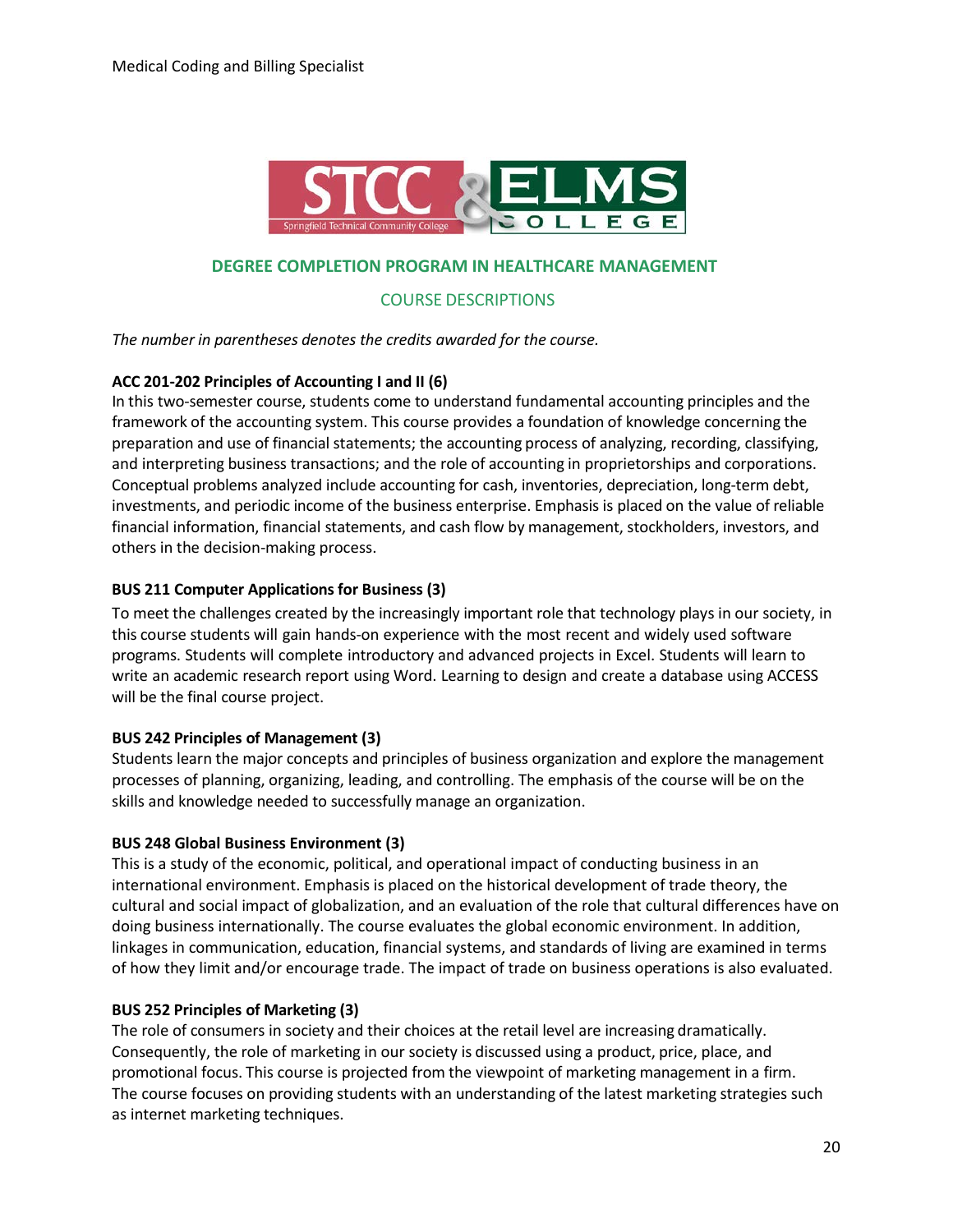

#### **DEGREE COMPLETION PROGRAM IN HEALTHCARE MANAGEMENT**

COURSE DESCRIPTIONS

*The number in parentheses denotes the credits awarded for the course.*

#### **ACC 201-202 Principles of Accounting I and II (6)**

In this two-semester course, students come to understand fundamental accounting principles and the framework of the accounting system. This course provides a foundation of knowledge concerning the preparation and use of financial statements; the accounting process of analyzing, recording, classifying, and interpreting business transactions; and the role of accounting in proprietorships and corporations. Conceptual problems analyzed include accounting for cash, inventories, depreciation, long-term debt, investments, and periodic income of the business enterprise. Emphasis is placed on the value of reliable financial information, financial statements, and cash flow by management, stockholders, investors, and others in the decision-making process.

#### **BUS 211 Computer Applicationsfor Business (3)**

To meet the challenges created by the increasingly important role that technology plays in our society, in this course students will gain hands-on experience with the most recent and widely used software programs. Students will complete introductory and advanced projects in Excel. Students will learn to write an academic research report using Word. Learning to design and create a database using ACCESS will be the final course project.

#### **BUS 242 Principles of Management (3)**

Students learn the major concepts and principles of business organization and explore the management processes of planning, organizing, leading, and controlling. The emphasis of the course will be on the skills and knowledge needed to successfully manage an organization.

#### **BUS 248 Global Business Environment (3)**

This is a study of the economic, political, and operational impact of conducting business in an international environment. Emphasis is placed on the historical development of trade theory, the cultural and social impact of globalization, and an evaluation of the role that cultural differences have on doing business internationally. The course evaluates the global economic environment. In addition, linkages in communication, education, financial systems, and standards of living are examined in terms of how they limit and/or encourage trade. The impact of trade on business operations is also evaluated.

#### **BUS 252 Principles of Marketing (3)**

The role of consumers in society and their choices at the retail level are increasing dramatically. Consequently, the role of marketing in our society is discussed using a product, price, place, and promotional focus. This course is projected from the viewpoint of marketing management in a firm. The course focuses on providing students with an understanding of the latest marketing strategies such as internet marketing techniques.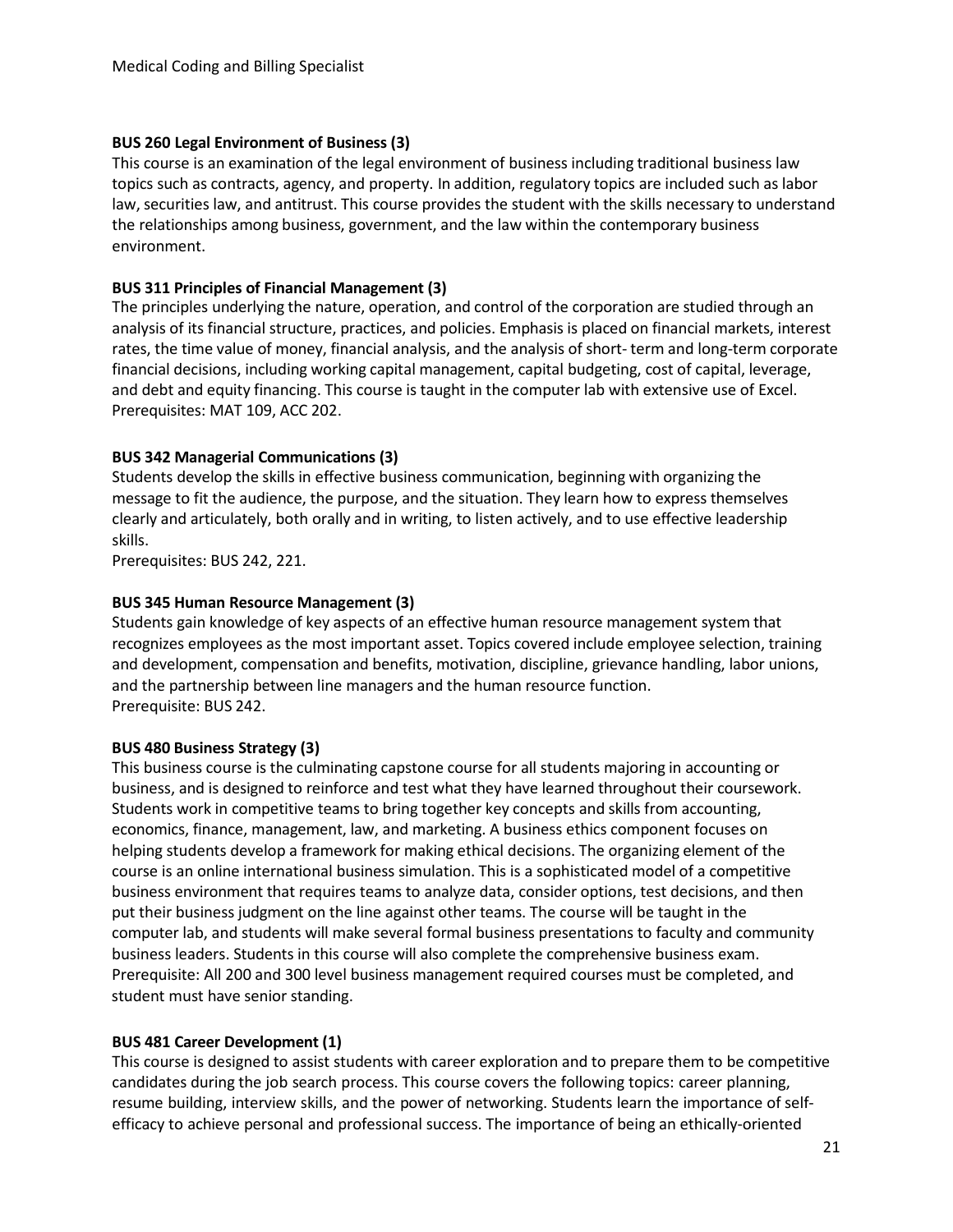#### **BUS 260 Legal Environment of Business (3)**

This course is an examination of the legal environment of business including traditional business law topics such as contracts, agency, and property. In addition, regulatory topics are included such as labor law, securities law, and antitrust. This course provides the student with the skills necessary to understand the relationships among business, government, and the law within the contemporary business environment.

#### **BUS 311 Principles of Financial Management (3)**

The principles underlying the nature, operation, and control of the corporation are studied through an analysis of its financial structure, practices, and policies. Emphasis is placed on financial markets, interest rates, the time value of money, financial analysis, and the analysis of short- term and long-term corporate financial decisions, including working capital management, capital budgeting, cost of capital, leverage, and debt and equity financing. This course is taught in the computer lab with extensive use of Excel. Prerequisites: MAT 109, ACC 202.

#### **BUS 342 Managerial Communications (3)**

Students develop the skills in effective business communication, beginning with organizing the message to fit the audience, the purpose, and the situation. They learn how to express themselves clearly and articulately, both orally and in writing, to listen actively, and to use effective leadership skills.

Prerequisites: BUS 242, 221.

#### **BUS 345 Human Resource Management (3)**

Students gain knowledge of key aspects of an effective human resource management system that recognizes employees as the most important asset. Topics covered include employee selection, training and development, compensation and benefits, motivation, discipline, grievance handling, labor unions, and the partnership between line managers and the human resource function. Prerequisite: BUS 242.

#### **BUS 480 Business Strategy (3)**

This business course is the culminating capstone course for all students majoring in accounting or business, and is designed to reinforce and test what they have learned throughout their coursework. Students work in competitive teams to bring together key concepts and skills from accounting, economics, finance, management, law, and marketing. A business ethics component focuses on helping students develop a framework for making ethical decisions. The organizing element of the course is an online international business simulation. This is a sophisticated model of a competitive business environment that requires teams to analyze data, consider options, test decisions, and then put their business judgment on the line against other teams. The course will be taught in the computer lab, and students will make several formal business presentations to faculty and community business leaders. Students in this course will also complete the comprehensive business exam. Prerequisite: All 200 and 300 level business management required courses must be completed, and student must have senior standing.

#### **BUS 481 Career Development (1)**

This course is designed to assist students with career exploration and to prepare them to be competitive candidates during the job search process. This course covers the following topics: career planning, resume building, interview skills, and the power of networking. Students learn the importance of selfefficacy to achieve personal and professional success. The importance of being an ethically-oriented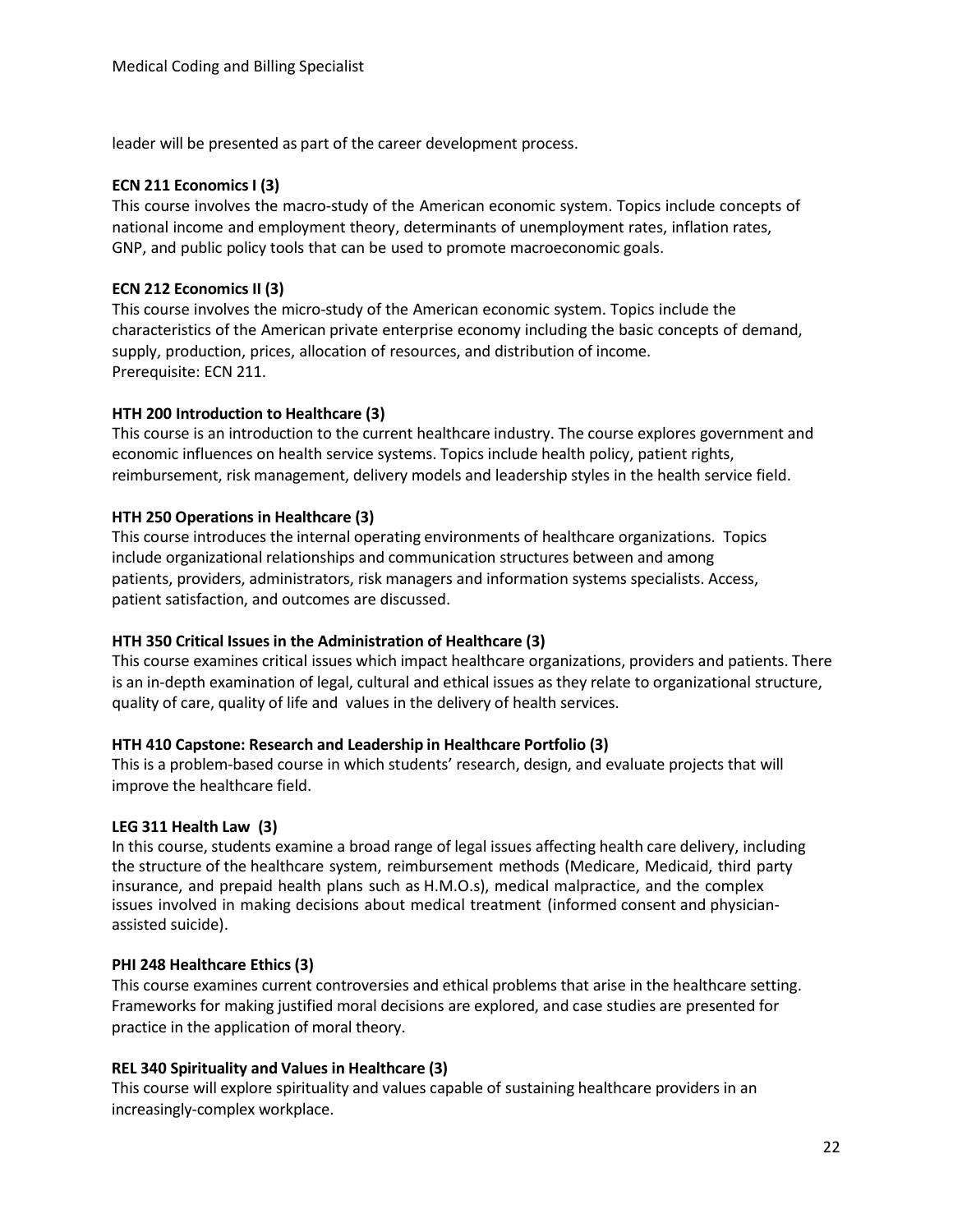leader will be presented as part of the career development process.

#### **ECN 211 EconomicsI (3)**

This course involves the macro-study of the American economic system. Topics include concepts of national income and employment theory, determinants of unemployment rates, inflation rates, GNP, and public policy tools that can be used to promote macroeconomic goals.

#### **ECN 212 Economics II (3)**

This course involves the micro-study of the American economic system. Topics include the characteristics of the American private enterprise economy including the basic concepts of demand, supply, production, prices, allocation of resources, and distribution of income. Prerequisite: ECN 211.

#### **HTH 200 Introduction to Healthcare (3)**

This course is an introduction to the current healthcare industry. The course explores government and economic influences on health service systems. Topics include health policy, patient rights, reimbursement, risk management, delivery models and leadership styles in the health service field.

#### **HTH 250 Operations in Healthcare (3)**

This course introduces the internal operating environments of healthcare organizations. Topics include organizational relationships and communication structures between and among patients, providers, administrators, risk managers and information systems specialists. Access, patient satisfaction, and outcomes are discussed.

#### **HTH 350 Critical Issues in the Administration of Healthcare (3)**

This course examines critical issues which impact healthcare organizations, providers and patients. There is an in-depth examination of legal, cultural and ethical issues as they relate to organizational structure, quality of care, quality of life and values in the delivery of health services.

#### **HTH 410 Capstone: Research and Leadership in Healthcare Portfolio (3)**

This is a problem-based course in which students' research, design, and evaluate projects that will improve the healthcare field.

#### **LEG 311 Health Law (3)**

In this course, students examine a broad range of legal issues affecting health care delivery, including the structure of the healthcare system, reimbursement methods (Medicare, Medicaid, third party insurance, and prepaid health plans such as H.M.O.s), medical malpractice, and the complex issues involved in making decisions about medical treatment (informed consent and physicianassisted suicide).

#### **PHI 248 Healthcare Ethics (3)**

This course examines current controversies and ethical problems that arise in the healthcare setting. Frameworks for making justified moral decisions are explored, and case studies are presented for practice in the application of moral theory.

#### **REL 340 Spirituality and Values in Healthcare (3)**

This course will explore spirituality and values capable of sustaining healthcare providers in an increasingly-complex workplace.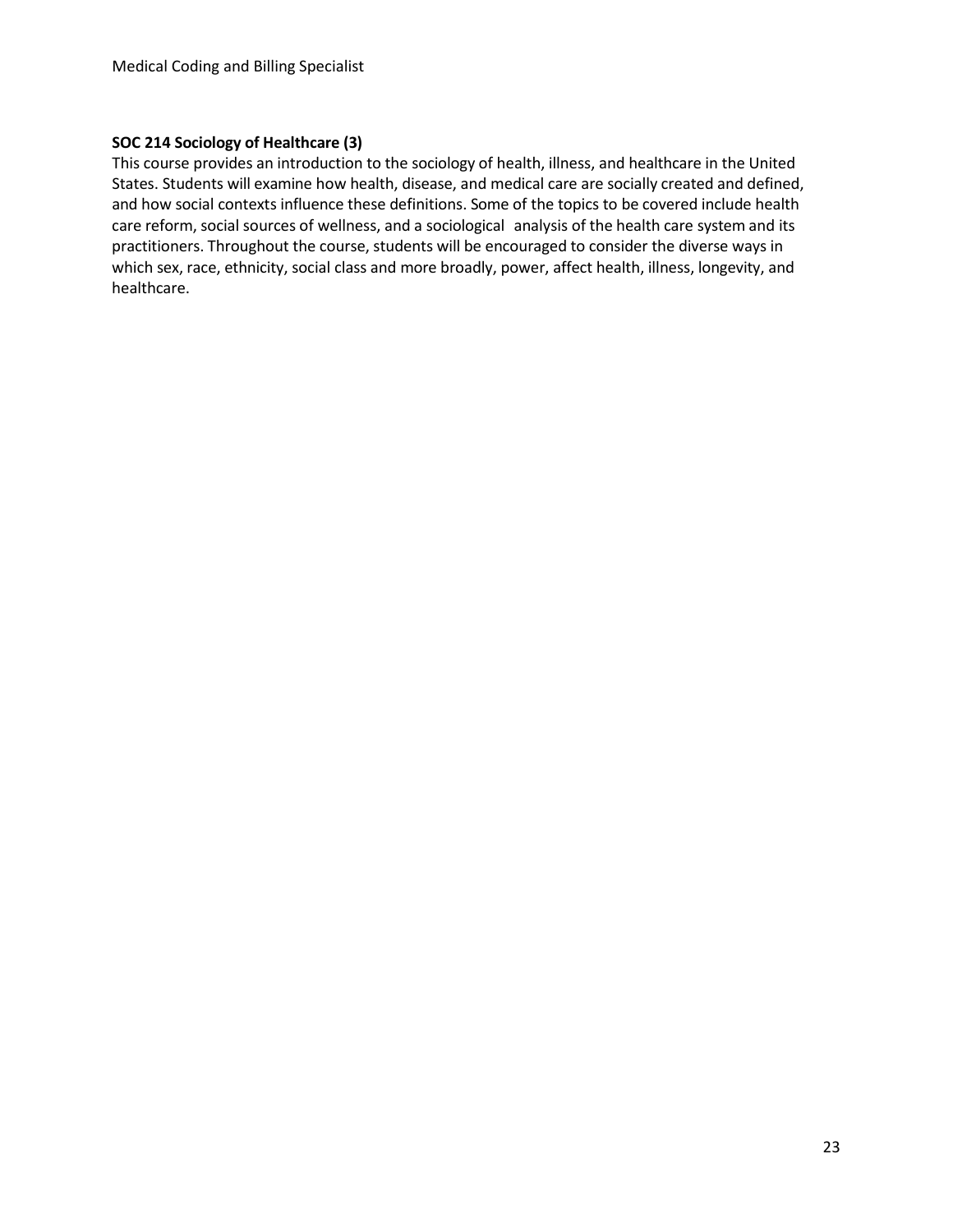#### **SOC 214 Sociology of Healthcare (3)**

This course provides an introduction to the sociology of health, illness, and healthcare in the United States. Students will examine how health, disease, and medical care are socially created and defined, and how social contexts influence these definitions. Some of the topics to be covered include health care reform, social sources of wellness, and a sociological analysis of the health care system and its practitioners. Throughout the course, students will be encouraged to consider the diverse ways in which sex, race, ethnicity, social class and more broadly, power, affect health, illness, longevity, and healthcare.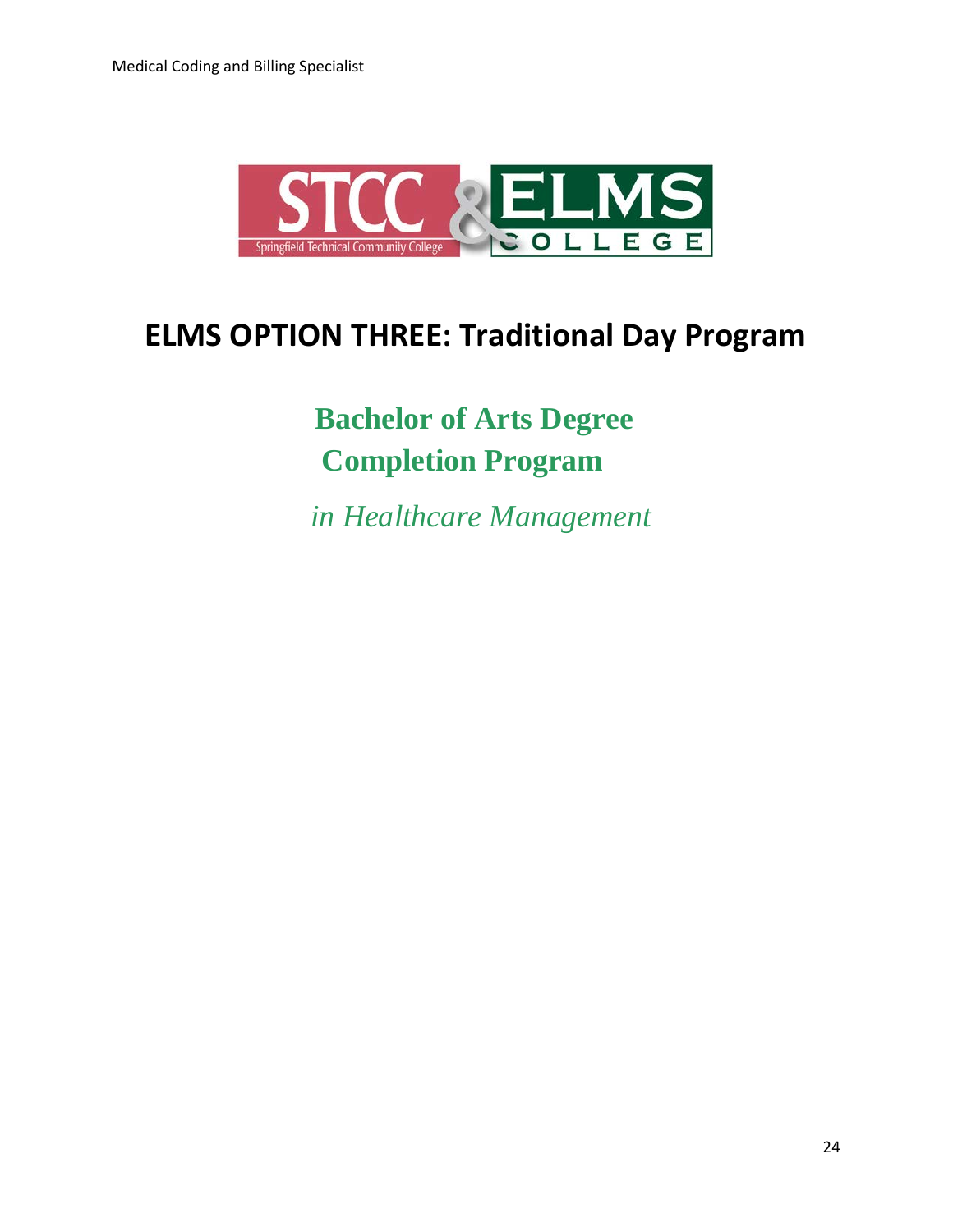

## **ELMS OPTION THREE: Traditional Day Program**

 **Bachelor of Arts Degree Completion Program**

 *in Healthcare Management*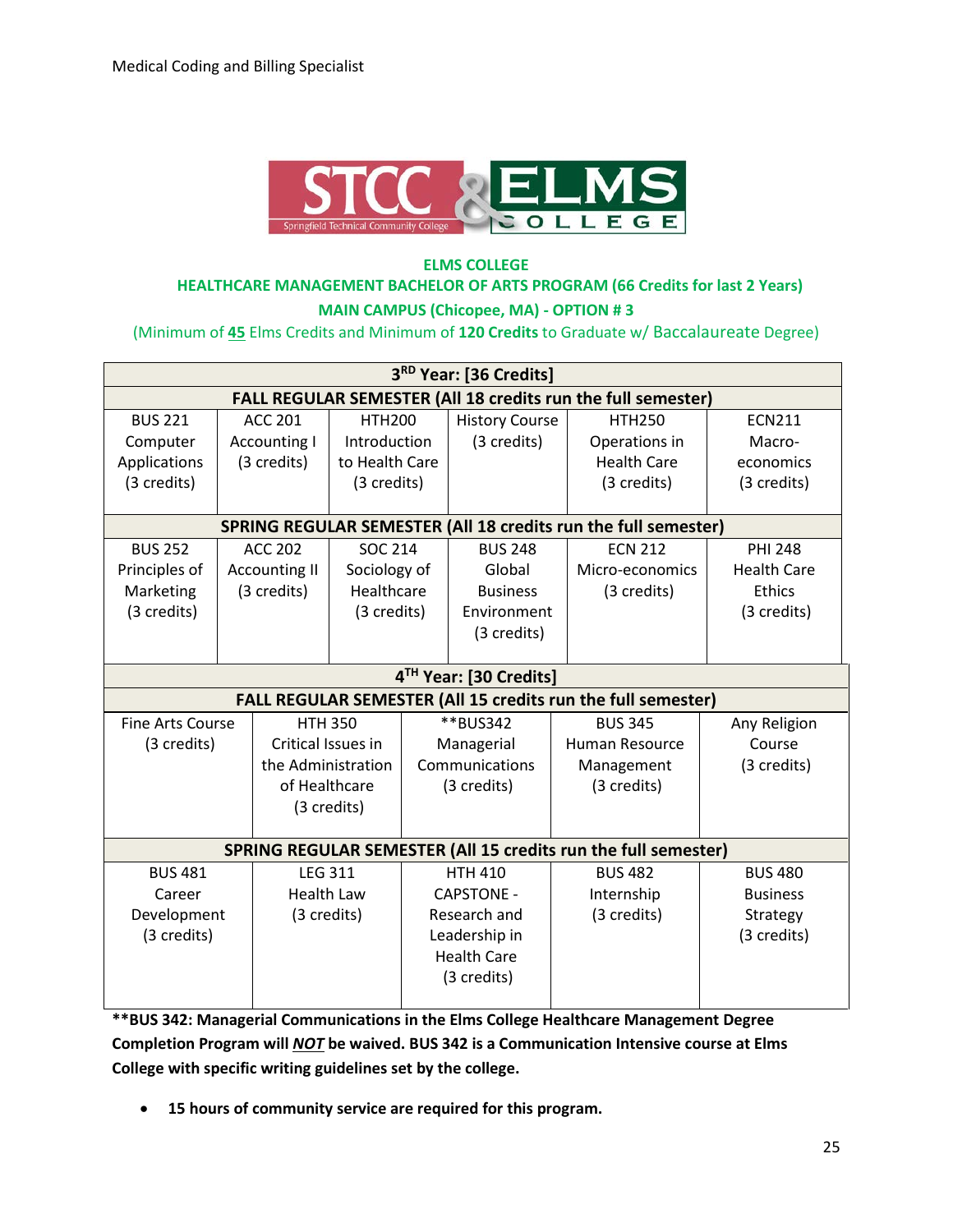

#### **ELMS COLLEGE HEALTHCARE MANAGEMENT BACHELOR OF ARTS PROGRAM (66 Credits for last 2 Years) MAIN CAMPUS (Chicopee, MA) - OPTION # 3**

(Minimum of **45** Elms Credits and Minimum of **120 Credits** to Graduate w/ Baccalaureate Degree)

| 3RD Year: [36 Credits]                                              |  |                      |                   |          |                        |                                                                       |                    |  |
|---------------------------------------------------------------------|--|----------------------|-------------------|----------|------------------------|-----------------------------------------------------------------------|--------------------|--|
| <b>FALL REGULAR SEMESTER (All 18 credits run the full semester)</b> |  |                      |                   |          |                        |                                                                       |                    |  |
| <b>BUS 221</b>                                                      |  | <b>ACC 201</b>       | <b>HTH200</b>     |          | <b>History Course</b>  | <b>HTH250</b>                                                         | <b>ECN211</b>      |  |
| Computer                                                            |  | <b>Accounting I</b>  | Introduction      |          | (3 credits)            | Operations in                                                         | Macro-             |  |
| Applications                                                        |  | (3 credits)          | to Health Care    |          |                        | <b>Health Care</b>                                                    | economics          |  |
| (3 credits)                                                         |  |                      | (3 credits)       |          |                        | (3 credits)                                                           | (3 credits)        |  |
|                                                                     |  |                      |                   |          |                        |                                                                       |                    |  |
|                                                                     |  |                      |                   |          |                        | <b>SPRING REGULAR SEMESTER (All 18 credits run the full semester)</b> |                    |  |
| <b>BUS 252</b>                                                      |  | <b>ACC 202</b>       | <b>SOC 214</b>    |          | <b>BUS 248</b>         | <b>ECN 212</b>                                                        | <b>PHI 248</b>     |  |
| Principles of                                                       |  | <b>Accounting II</b> | Sociology of      |          | Global                 | Micro-economics                                                       | <b>Health Care</b> |  |
| Marketing                                                           |  | (3 credits)          | Healthcare        |          | <b>Business</b>        | (3 credits)                                                           | Ethics             |  |
| (3 credits)                                                         |  |                      | (3 credits)       |          | Environment            |                                                                       | (3 credits)        |  |
|                                                                     |  |                      |                   |          | (3 credits)            |                                                                       |                    |  |
|                                                                     |  |                      |                   |          |                        |                                                                       |                    |  |
|                                                                     |  |                      |                   |          | 4TH Year: [30 Credits] |                                                                       |                    |  |
|                                                                     |  |                      |                   |          |                        | FALL REGULAR SEMESTER (All 15 credits run the full semester)          |                    |  |
| <b>Fine Arts Course</b>                                             |  | <b>HTH 350</b>       |                   | **BUS342 | <b>BUS 345</b>         | Any Religion                                                          |                    |  |
| (3 credits)                                                         |  | Critical Issues in   |                   |          | Managerial             | Human Resource                                                        | Course             |  |
|                                                                     |  | the Administration   |                   |          | Communications         | Management                                                            | (3 credits)        |  |
|                                                                     |  | of Healthcare        |                   |          | (3 credits)            | (3 credits)                                                           |                    |  |
|                                                                     |  |                      | (3 credits)       |          |                        |                                                                       |                    |  |
|                                                                     |  |                      |                   |          |                        |                                                                       |                    |  |
|                                                                     |  |                      |                   |          |                        | SPRING REGULAR SEMESTER (All 15 credits run the full semester)        |                    |  |
| <b>BUS 481</b>                                                      |  | <b>LEG 311</b>       |                   |          | <b>HTH 410</b>         | <b>BUS 482</b>                                                        | <b>BUS 480</b>     |  |
| Career                                                              |  |                      | <b>Health Law</b> |          | <b>CAPSTONE -</b>      | Internship                                                            | <b>Business</b>    |  |
| Development                                                         |  | (3 credits)          |                   |          | Research and           | (3 credits)                                                           | Strategy           |  |
| (3 credits)                                                         |  |                      |                   |          | Leadership in          |                                                                       | (3 credits)        |  |
|                                                                     |  |                      |                   |          | <b>Health Care</b>     |                                                                       |                    |  |
|                                                                     |  |                      |                   |          | (3 credits)            |                                                                       |                    |  |
|                                                                     |  |                      |                   |          |                        |                                                                       |                    |  |

**\*\*BUS 342: Managerial Communications in the Elms College Healthcare Management Degree Completion Program will** *NOT* **be waived. BUS 342 is a Communication Intensive course at Elms College with specific writing guidelines set by the college.** 

• **15 hours of community service are required for this program.**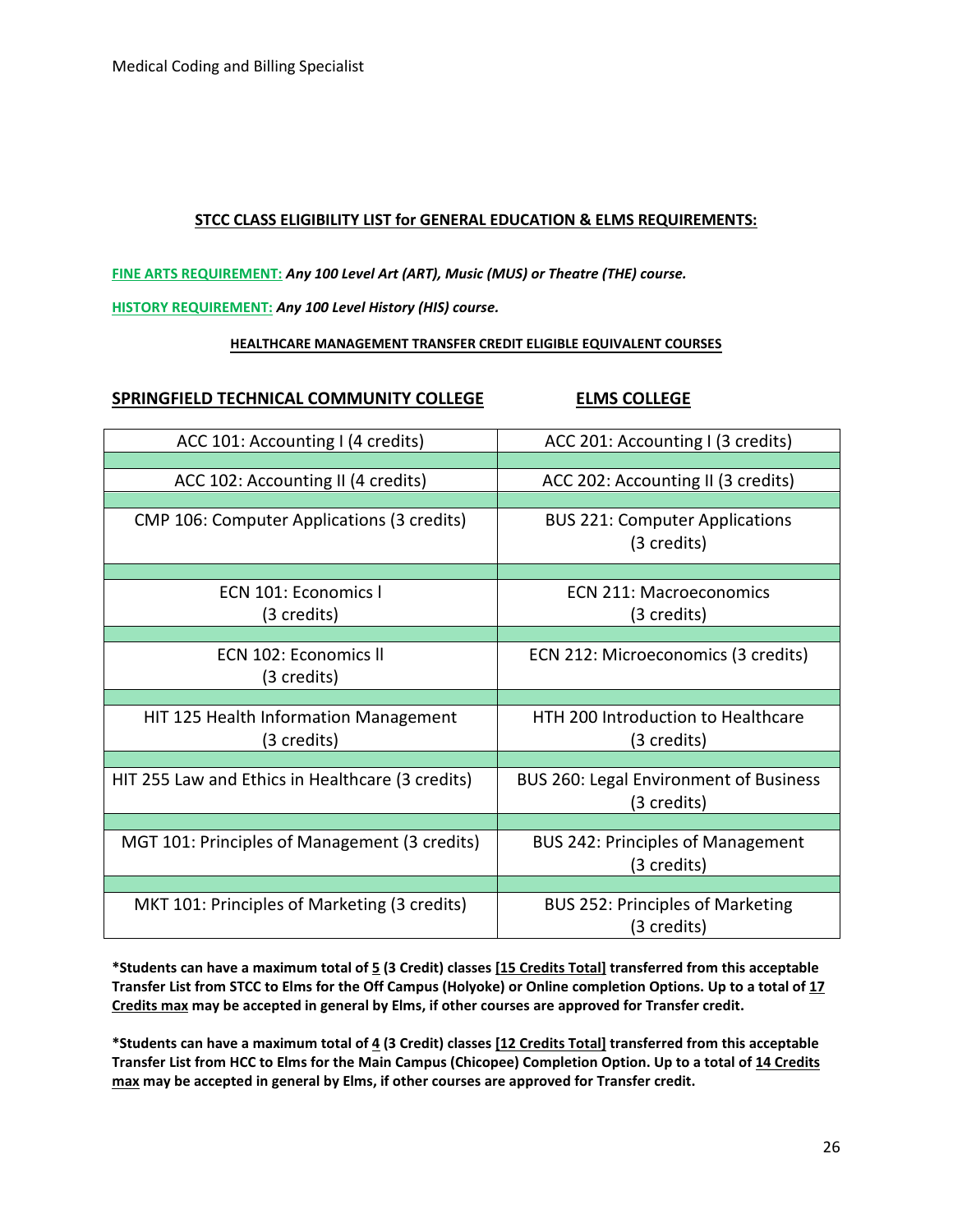#### **STCC CLASS ELIGIBILITY LIST for GENERAL EDUCATION & ELMS REQUIREMENTS:**

**FINE ARTS REQUIREMENT:** *Any 100 Level Art (ART), Music (MUS) or Theatre (THE) course.*

**HISTORY REQUIREMENT:** *Any 100 Level History (HIS) course.*

#### **HEALTHCARE MANAGEMENT TRANSFER CREDIT ELIGIBLE EQUIVALENT COURSES**

#### **SPRINGFIELD TECHNICAL COMMUNITY COLLEGE ELMS COLLEGE**

| ACC 101: Accounting I (4 credits)                    | ACC 201: Accounting I (3 credits)                        |
|------------------------------------------------------|----------------------------------------------------------|
| ACC 102: Accounting II (4 credits)                   | ACC 202: Accounting II (3 credits)                       |
| CMP 106: Computer Applications (3 credits)           | <b>BUS 221: Computer Applications</b><br>(3 credits)     |
| ECN 101: Economics I<br>(3 credits)                  | FCN 211: Macroeconomics<br>(3 credits)                   |
| ECN 102: Economics II<br>(3 credits)                 | ECN 212: Microeconomics (3 credits)                      |
| HIT 125 Health Information Management<br>(3 credits) | <b>HTH 200 Introduction to Healthcare</b><br>(3 credits) |
| HIT 255 Law and Ethics in Healthcare (3 credits)     | BUS 260: Legal Environment of Business<br>(3 credits)    |
| MGT 101: Principles of Management (3 credits)        | <b>BUS 242: Principles of Management</b><br>(3 credits)  |
| MKT 101: Principles of Marketing (3 credits)         | <b>BUS 252: Principles of Marketing</b><br>(3 credits)   |

**\*Students can have a maximum total of 5 (3 Credit) classes [15 Credits Total] transferred from this acceptable Transfer List from STCC to Elms for the Off Campus (Holyoke) or Online completion Options. Up to a total of 17 Credits max may be accepted in general by Elms, if other courses are approved for Transfer credit.**

**\*Students can have a maximum total of 4 (3 Credit) classes [12 Credits Total] transferred from this acceptable Transfer List from HCC to Elms for the Main Campus (Chicopee) Completion Option. Up to a total of 14 Credits max may be accepted in general by Elms, if other courses are approved for Transfer credit.**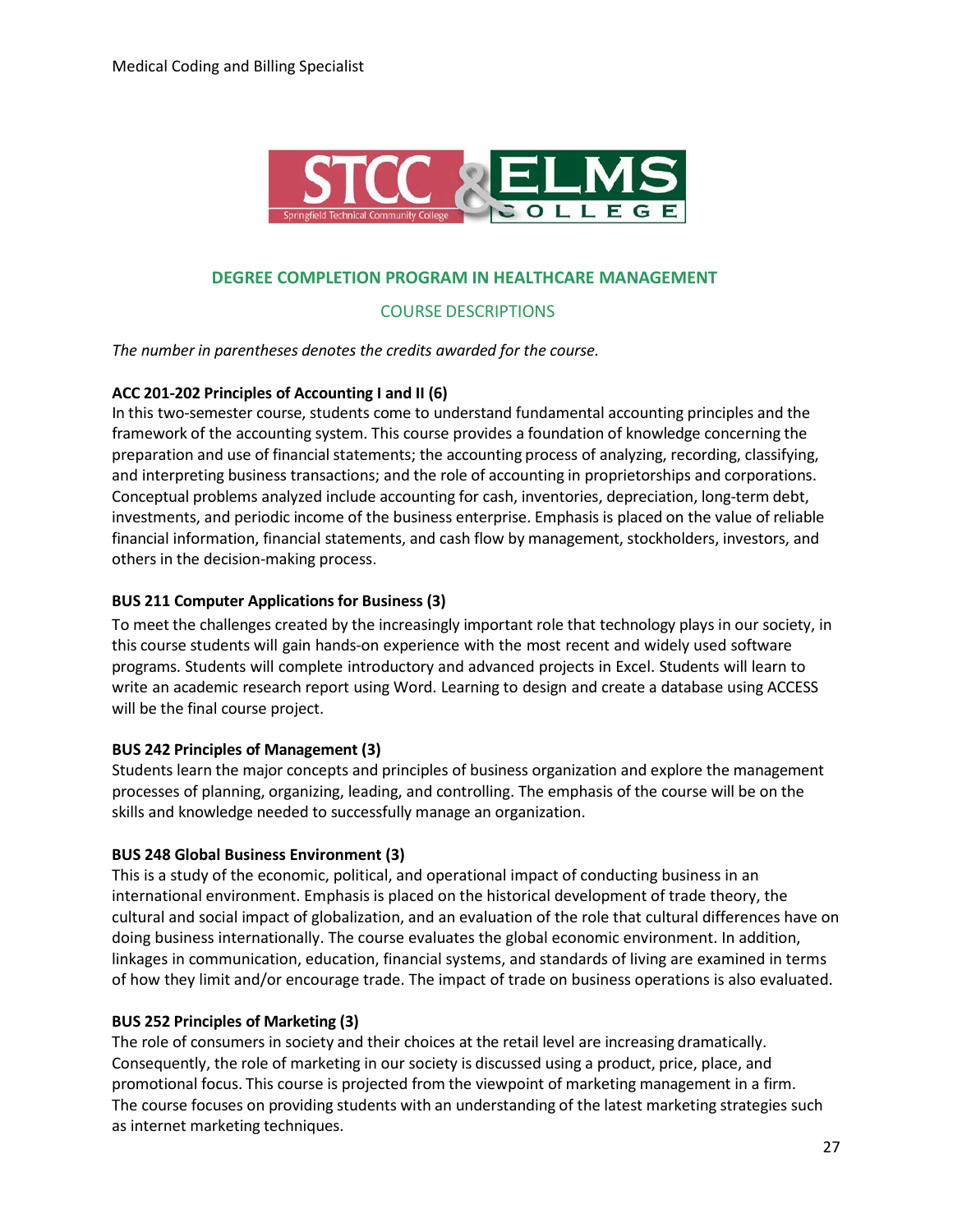

#### **DEGREE COMPLETION PROGRAM IN HEALTHCARE MANAGEMENT**

#### COURSE DESCRIPTIONS

*The number in parentheses denotes the credits awarded for the course.*

#### **ACC 201-202 Principles of Accounting I and II (6)**

In this two-semester course, students come to understand fundamental accounting principles and the framework of the accounting system. This course provides a foundation of knowledge concerning the preparation and use of financial statements; the accounting process of analyzing, recording, classifying, and interpreting business transactions; and the role of accounting in proprietorships and corporations. Conceptual problems analyzed include accounting for cash, inventories, depreciation, long-term debt, investments, and periodic income of the business enterprise. Emphasis is placed on the value of reliable financial information, financial statements, and cash flow by management, stockholders, investors, and others in the decision-making process.

#### **BUS 211 Computer Applicationsfor Business (3)**

To meet the challenges created by the increasingly important role that technology plays in our society, in this course students will gain hands-on experience with the most recent and widely used software programs. Students will complete introductory and advanced projects in Excel. Students will learn to write an academic research report using Word. Learning to design and create a database using ACCESS will be the final course project.

#### **BUS 242 Principles of Management (3)**

Students learn the major concepts and principles of business organization and explore the management processes of planning, organizing, leading, and controlling. The emphasis of the course will be on the skills and knowledge needed to successfully manage an organization.

#### **BUS 248 Global Business Environment (3)**

This is a study of the economic, political, and operational impact of conducting business in an international environment. Emphasis is placed on the historical development of trade theory, the cultural and social impact of globalization, and an evaluation of the role that cultural differences have on doing business internationally. The course evaluates the global economic environment. In addition, linkages in communication, education, financial systems, and standards of living are examined in terms of how they limit and/or encourage trade. The impact of trade on business operations is also evaluated.

#### **BUS 252 Principles of Marketing (3)**

The role of consumers in society and their choices at the retail level are increasing dramatically. Consequently, the role of marketing in our society is discussed using a product, price, place, and promotional focus. This course is projected from the viewpoint of marketing management in a firm. The course focuses on providing students with an understanding of the latest marketing strategies such as internet marketing techniques.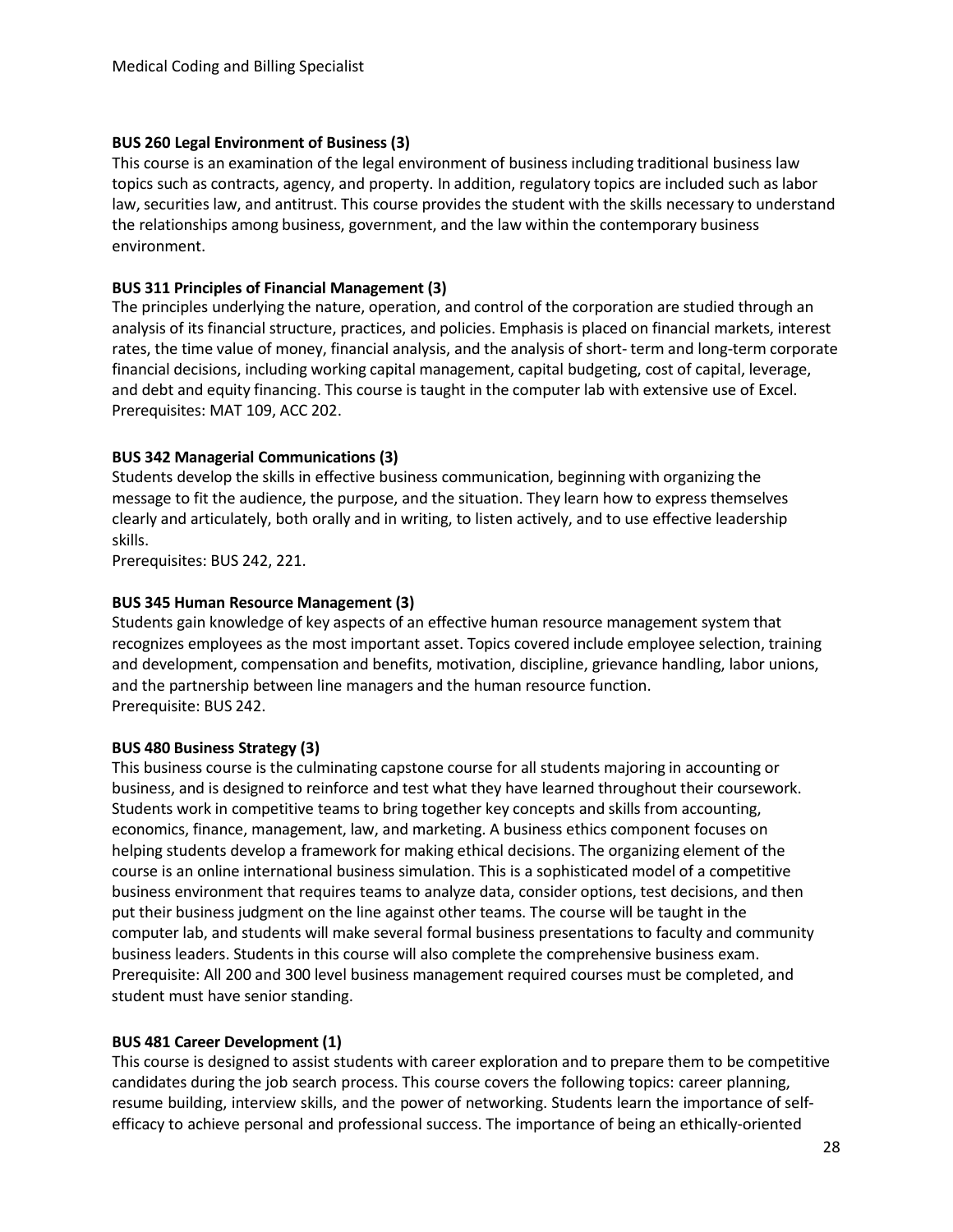#### **BUS 260 Legal Environment of Business (3)**

This course is an examination of the legal environment of business including traditional business law topics such as contracts, agency, and property. In addition, regulatory topics are included such as labor law, securities law, and antitrust. This course provides the student with the skills necessary to understand the relationships among business, government, and the law within the contemporary business environment.

#### **BUS 311 Principles of Financial Management (3)**

The principles underlying the nature, operation, and control of the corporation are studied through an analysis of its financial structure, practices, and policies. Emphasis is placed on financial markets, interest rates, the time value of money, financial analysis, and the analysis of short- term and long-term corporate financial decisions, including working capital management, capital budgeting, cost of capital, leverage, and debt and equity financing. This course is taught in the computer lab with extensive use of Excel. Prerequisites: MAT 109, ACC 202.

#### **BUS 342 Managerial Communications (3)**

Students develop the skills in effective business communication, beginning with organizing the message to fit the audience, the purpose, and the situation. They learn how to express themselves clearly and articulately, both orally and in writing, to listen actively, and to use effective leadership skills.

Prerequisites: BUS 242, 221.

#### **BUS 345 Human Resource Management (3)**

Students gain knowledge of key aspects of an effective human resource management system that recognizes employees as the most important asset. Topics covered include employee selection, training and development, compensation and benefits, motivation, discipline, grievance handling, labor unions, and the partnership between line managers and the human resource function. Prerequisite: BUS 242.

#### **BUS 480 Business Strategy (3)**

This business course is the culminating capstone course for all students majoring in accounting or business, and is designed to reinforce and test what they have learned throughout their coursework. Students work in competitive teams to bring together key concepts and skills from accounting, economics, finance, management, law, and marketing. A business ethics component focuses on helping students develop a framework for making ethical decisions. The organizing element of the course is an online international business simulation. This is a sophisticated model of a competitive business environment that requires teams to analyze data, consider options, test decisions, and then put their business judgment on the line against other teams. The course will be taught in the computer lab, and students will make several formal business presentations to faculty and community business leaders. Students in this course will also complete the comprehensive business exam. Prerequisite: All 200 and 300 level business management required courses must be completed, and student must have senior standing.

#### **BUS 481 Career Development (1)**

This course is designed to assist students with career exploration and to prepare them to be competitive candidates during the job search process. This course covers the following topics: career planning, resume building, interview skills, and the power of networking. Students learn the importance of selfefficacy to achieve personal and professional success. The importance of being an ethically-oriented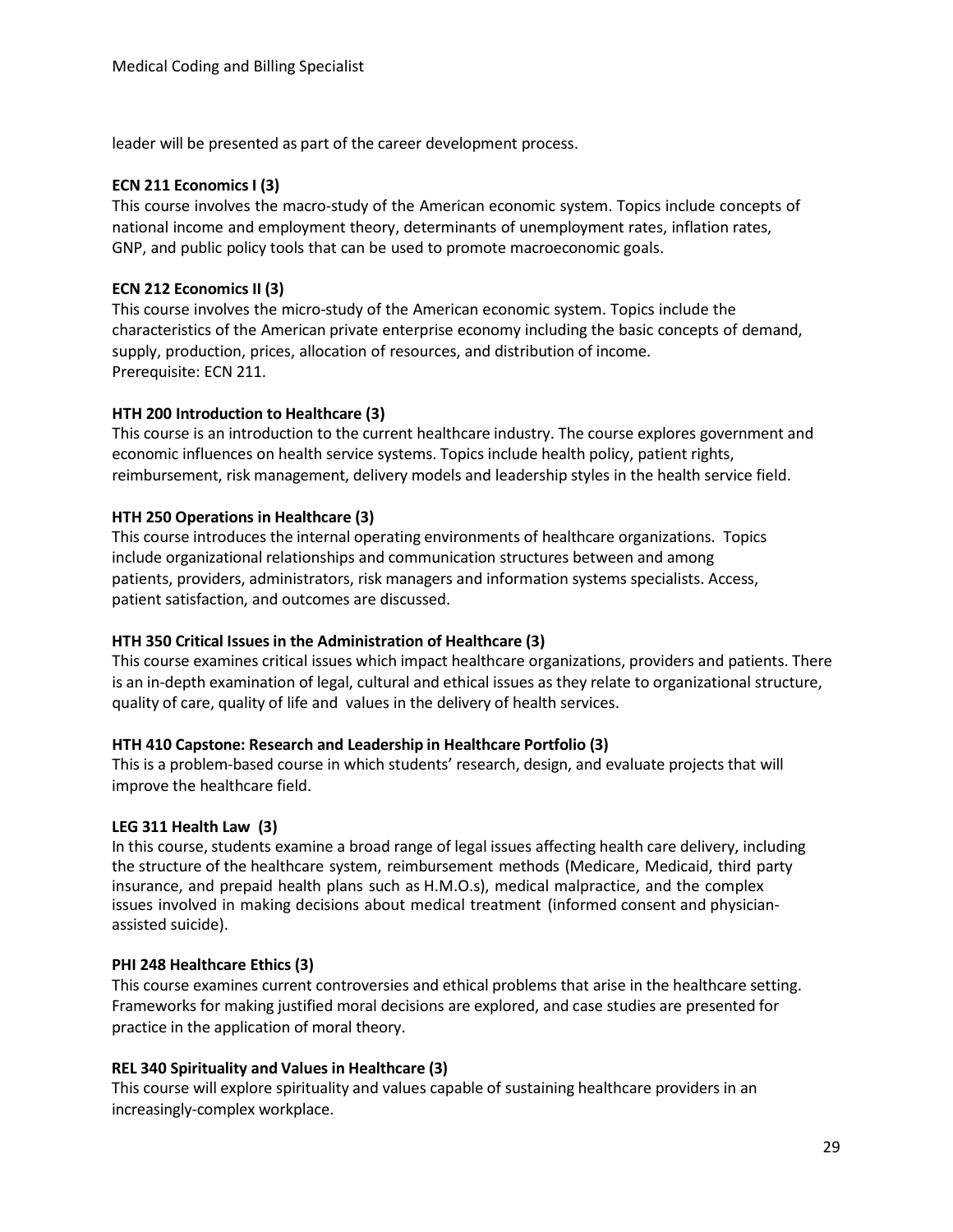leader will be presented as part of the career development process.

#### **ECN 211 EconomicsI (3)**

This course involves the macro-study of the American economic system. Topics include concepts of national income and employment theory, determinants of unemployment rates, inflation rates, GNP, and public policy tools that can be used to promote macroeconomic goals.

#### **ECN 212 Economics II (3)**

This course involves the micro-study of the American economic system. Topics include the characteristics of the American private enterprise economy including the basic concepts of demand, supply, production, prices, allocation of resources, and distribution of income. Prerequisite: ECN 211.

#### **HTH 200 Introduction to Healthcare (3)**

This course is an introduction to the current healthcare industry. The course explores government and economic influences on health service systems. Topics include health policy, patient rights, reimbursement, risk management, delivery models and leadership styles in the health service field.

#### **HTH 250 Operations in Healthcare (3)**

This course introduces the internal operating environments of healthcare organizations. Topics include organizational relationships and communication structures between and among patients, providers, administrators, risk managers and information systems specialists. Access, patient satisfaction, and outcomes are discussed.

#### **HTH 350 Critical Issuesin the Administration of Healthcare (3)**

This course examines critical issues which impact healthcare organizations, providers and patients. There is an in-depth examination of legal, cultural and ethical issues as they relate to organizational structure, quality of care, quality of life and values in the delivery of health services.

#### **HTH 410 Capstone: Research and Leadership in Healthcare Portfolio (3)**

This is a problem-based course in which students' research, design, and evaluate projects that will improve the healthcare field.

#### **LEG 311 Health Law (3)**

In this course, students examine a broad range of legal issues affecting health care delivery, including the structure of the healthcare system, reimbursement methods (Medicare, Medicaid, third party insurance, and prepaid health plans such as H.M.O.s), medical malpractice, and the complex issues involved in making decisions about medical treatment (informed consent and physicianassisted suicide).

#### **PHI 248 Healthcare Ethics (3)**

This course examines current controversies and ethical problems that arise in the healthcare setting. Frameworks for making justified moral decisions are explored, and case studies are presented for practice in the application of moral theory.

#### **REL 340 Spirituality and Values in Healthcare (3)**

This course will explore spirituality and values capable of sustaining healthcare providers in an increasingly-complex workplace.